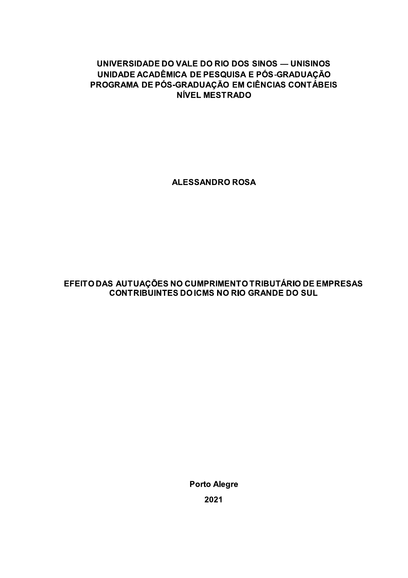## UNIVERSIDADE DO VALE DO RIO DOS SINOS — UNISINOS UNIDADE ACADÊMICA DE PESQUISA E PÓS-GRADUACÃO PROGRAMA DE PÓS-GRADUAÇÃO EM CIÊNCIAS CONTÁBEIS **NÍVEL MESTRADO**

**ALESSANDRO ROSA** 

## EFEITO DAS AUTUAÇÕES NO CUMPRIMENTO TRIBUTÁRIO DE EMPRESAS **CONTRIBUINTES DO ICMS NO RIO GRANDE DO SUL**

**Porto Alegre** 2021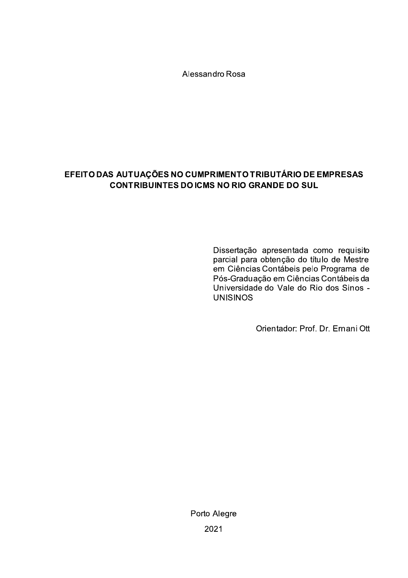Alessandro Rosa

## EFEITO DAS AUTUAÇÕES NO CUMPRIMENTO TRIBUTÁRIO DE EMPRESAS **CONTRIBUINTES DO ICMS NO RIO GRANDE DO SUL**

Dissertação apresentada como requisito parcial para obtenção do título de Mestre em Ciências Contábeis pelo Programa de Pós-Graduação em Ciências Contábeis da Universidade do Vale do Rio dos Sinos -**UNISINOS** 

Orientador: Prof. Dr. Ernani Ott

Porto Alegre 2021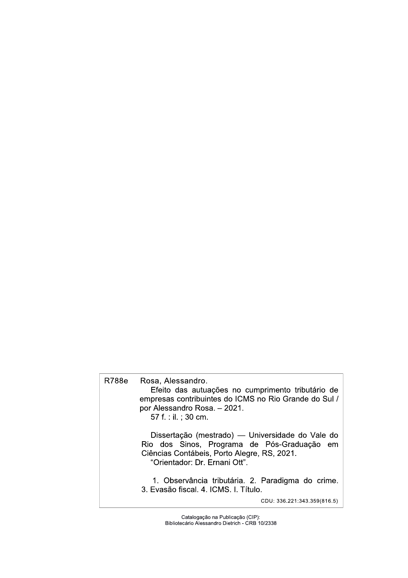## R788e Rosa, Alessandro. Efeito das autuações no cumprimento tributário de empresas contribuintes do ICMS no Rio Grande do Sul / por Alessandro Rosa. - 2021. 57 f. : il. ; 30 cm. Dissertação (mestrado) - Universidade do Vale do Rio dos Sinos, Programa de Pós-Graduação em Ciências Contábeis, Porto Alegre, RS, 2021. "Orientador: Dr. Ernani Ott". 1. Observância tributária. 2. Paradigma do crime. 3. Evasão fiscal. 4. ICMS. I. Título. CDU: 336.221:343.359(816.5)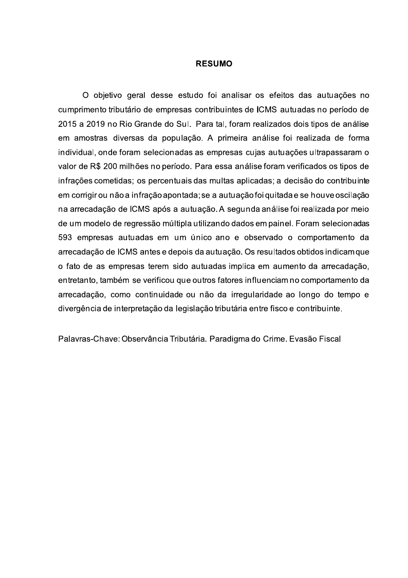#### **RESUMO**

O objetivo geral desse estudo foi analisar os efeitos das autuações no cumprimento tributário de empresas contribuintes de ICMS autuadas no período de 2015 a 2019 no Rio Grande do Sul. Para tal, foram realizados dois tipos de análise em amostras diversas da população. A primeira análise foi realizada de forma individual, onde foram selecionadas as empresas cujas autuações ultrapassaram o valor de R\$ 200 milhões no período. Para essa análise foram verificados os tipos de infrações cometidas; os percentuais das multas aplicadas; a decisão do contribuinte em corrigir ou não a infração apontada; se a autuação foi quitada e se houve oscilação na arrecadação de ICMS após a autuação. A segunda análise foi realizada por meio de um modelo de regressão múltipla utilizando dados em painel. Foram selecionadas 593 empresas autuadas em um único ano e observado o comportamento da arrecadação de ICMS antes e depois da autuação. Os resultados obtidos indicamque o fato de as empresas terem sido autuadas implica em aumento da arrecadação, entretanto, também se verificou que outros fatores influenciam no comportamento da arrecadação, como continuidade ou não da irregularidade ao longo do tempo e divergência de interpretação da legislação tributária entre fisco e contribuinte.

Palavras-Chave: Observância Tributária. Paradigma do Crime. Evasão Fiscal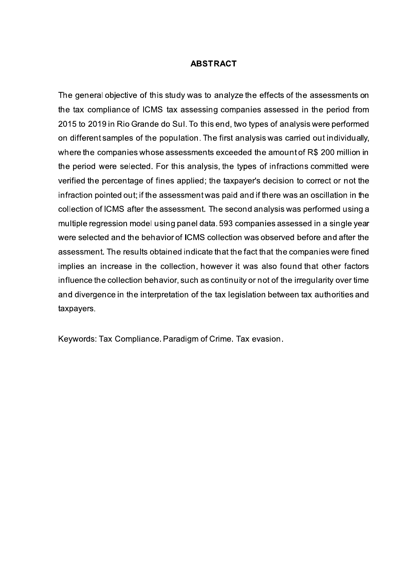### **ABSTRACT**

The general objective of this study was to analyze the effects of the assessments on the tax compliance of ICMS tax assessing companies assessed in the period from 2015 to 2019 in Rio Grande do Sul. To this end, two types of analysis were performed on different samples of the population. The first analysis was carried out individually, where the companies whose assessments exceeded the amount of R\$ 200 million in the period were selected. For this analysis, the types of infractions committed were verified the percentage of fines applied; the taxpayer's decision to correct or not the infraction pointed out; if the assessment was paid and if there was an oscillation in the collection of ICMS after the assessment. The second analysis was performed using a multiple regression model using panel data. 593 companies assessed in a single year were selected and the behavior of ICMS collection was observed before and after the assessment. The results obtained indicate that the fact that the companies were fined implies an increase in the collection, however it was also found that other factors influence the collection behavior, such as continuity or not of the irregularity over time and divergence in the interpretation of the tax legislation between tax authorities and taxpayers.

Keywords: Tax Compliance. Paradigm of Crime. Tax evasion.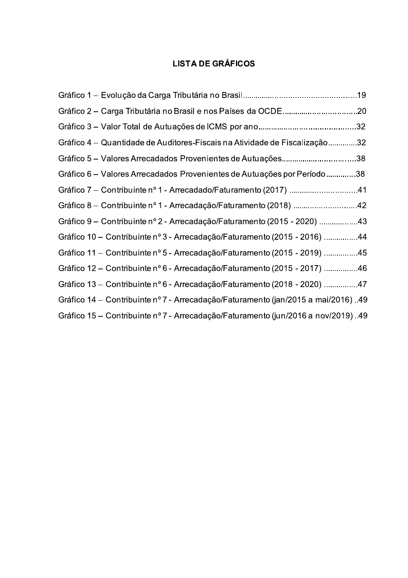## **LISTA DE GRÁFICOS**

| Gráfico 2 – Carga Tributária no Brasil e nos Países da OCDE20                     |  |
|-----------------------------------------------------------------------------------|--|
|                                                                                   |  |
| Gráfico 4 — Quantidade de Auditores-Fiscais na Atividade de Fiscalização32        |  |
| Gráfico 5 – Valores Arrecadados Provenientes de Autuações38                       |  |
| Gráfico 6 – Valores Arrecadados Provenientes de Autuações por Período38           |  |
| Gráfico 7 – Contribuinte nº 1 - Arrecadado/Faturamento (2017) 41                  |  |
| Gráfico 8 – Contribuinte nº 1 - Arrecadação/Faturamento (2018) 42                 |  |
| Gráfico 9 – Contribuinte nº 2 - Arrecadação/Faturamento (2015 - 2020) 43          |  |
| Gráfico 10 – Contribuinte nº 3 - Arrecadação/Faturamento (2015 - 2016) 44         |  |
| Gráfico 11 – Contribuinte nº 5 - Arrecadação/Faturamento (2015 - 2019) 45         |  |
| Gráfico 12 – Contribuinte nº 6 - Arrecadação/Faturamento (2015 - 2017) 46         |  |
| Gráfico 13 – Contribuinte nº 6 - Arrecadação/Faturamento (2018 - 2020) 47         |  |
| Gráfico 14 – Contribuinte nº 7 - Arrecadação/Faturamento (jan/2015 a mai/2016) 49 |  |
| Gráfico 15 – Contribuinte nº 7 - Arrecadação/Faturamento (jun/2016 a nov/2019)49  |  |
|                                                                                   |  |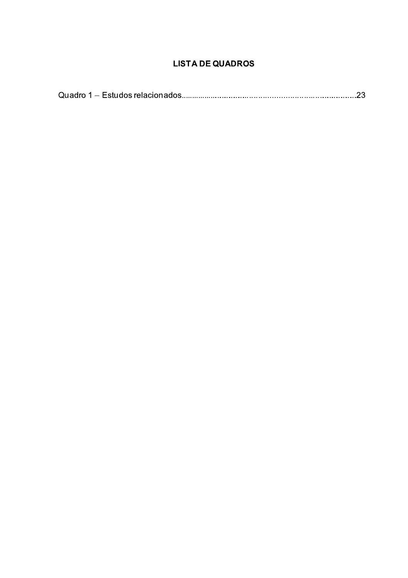## **LISTA DE QUADROS**

|--|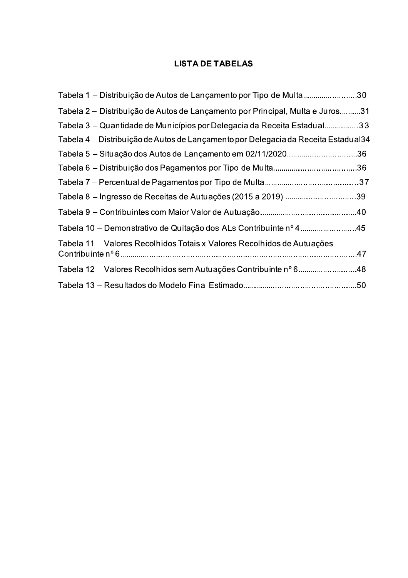## **LISTA DE TABELAS**

| Tabela 1 – Distribuição de Autos de Lançamento por Tipo de Multa30                 |  |
|------------------------------------------------------------------------------------|--|
| Tabela 2 – Distribuição de Autos de Lançamento por Principal, Multa e Juros31      |  |
| Tabela 3 – Quantidade de Municípios por Delegacia da Receita Estadual33            |  |
| Tabela 4 – Distribuição de Autos de Lançamento por Delegacia da Receita Estadual34 |  |
|                                                                                    |  |
|                                                                                    |  |
|                                                                                    |  |
| Tabela 8 – Ingresso de Receitas de Autuações (2015 a 2019) 39                      |  |
|                                                                                    |  |
| Tabela 10 – Demonstrativo de Quitação dos ALs Contribuinte nº 445                  |  |
| Tabela 11 – Valores Recolhidos Totais x Valores Recolhidos de Autuações            |  |
| Tabela 12 – Valores Recolhidos sem Autuações Contribuinte nº 648                   |  |
|                                                                                    |  |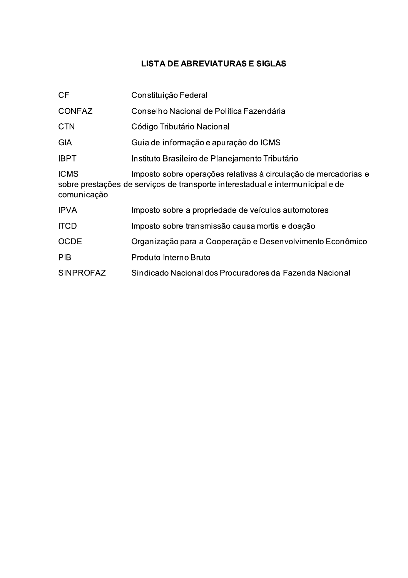## **LISTA DE ABREVIATURAS E SIGLAS**

| <b>CF</b>                  | Constituição Federal                                                                                                                              |
|----------------------------|---------------------------------------------------------------------------------------------------------------------------------------------------|
| <b>CONFAZ</b>              | Conselho Nacional de Política Fazendária                                                                                                          |
| <b>CTN</b>                 | Código Tributário Nacional                                                                                                                        |
| <b>GIA</b>                 | Guia de informação e apuração do ICMS                                                                                                             |
| <b>IBPT</b>                | Instituto Brasileiro de Planejamento Tributário                                                                                                   |
| <b>ICMS</b><br>comunicação | Imposto sobre operações relativas à circulação de mercadorias e<br>sobre prestações de serviços de transporte interestadual e intermunicipal e de |
| <b>IPVA</b>                | Imposto sobre a propriedade de veículos automotores                                                                                               |
| <b>ITCD</b>                | Imposto sobre transmissão causa mortis e doação                                                                                                   |
| <b>OCDE</b>                | Organização para a Cooperação e Desenvolvimento Econômico                                                                                         |
| <b>PIB</b>                 | Produto Interno Bruto                                                                                                                             |
| <b>SINPROFAZ</b>           | Sindicado Nacional dos Procuradores da Fazenda Nacional                                                                                           |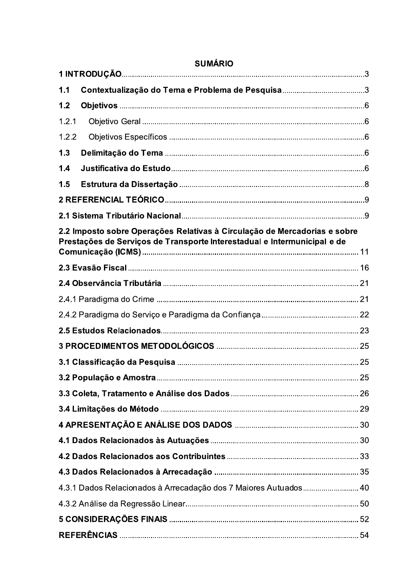| 1.1   |                                                                                                                                                       |  |
|-------|-------------------------------------------------------------------------------------------------------------------------------------------------------|--|
| 1.2   |                                                                                                                                                       |  |
| 1.2.1 |                                                                                                                                                       |  |
| 1.2.2 |                                                                                                                                                       |  |
| 1.3   |                                                                                                                                                       |  |
| 1.4   |                                                                                                                                                       |  |
| 1.5   |                                                                                                                                                       |  |
|       |                                                                                                                                                       |  |
|       |                                                                                                                                                       |  |
|       | 2.2 Imposto sobre Operações Relativas à Circulação de Mercadorias e sobre<br>Prestações de Serviços de Transporte Interestadual e Intermunicipal e de |  |
|       |                                                                                                                                                       |  |
|       |                                                                                                                                                       |  |
|       |                                                                                                                                                       |  |
|       |                                                                                                                                                       |  |
|       |                                                                                                                                                       |  |
|       |                                                                                                                                                       |  |
|       |                                                                                                                                                       |  |
|       |                                                                                                                                                       |  |
|       |                                                                                                                                                       |  |
|       |                                                                                                                                                       |  |
|       |                                                                                                                                                       |  |
|       |                                                                                                                                                       |  |
|       |                                                                                                                                                       |  |
|       |                                                                                                                                                       |  |
|       | 4.3.1 Dados Relacionados à Arrecadação dos 7 Maiores Autuados 40                                                                                      |  |
|       |                                                                                                                                                       |  |
|       |                                                                                                                                                       |  |
|       |                                                                                                                                                       |  |

# **SUMÁRIO**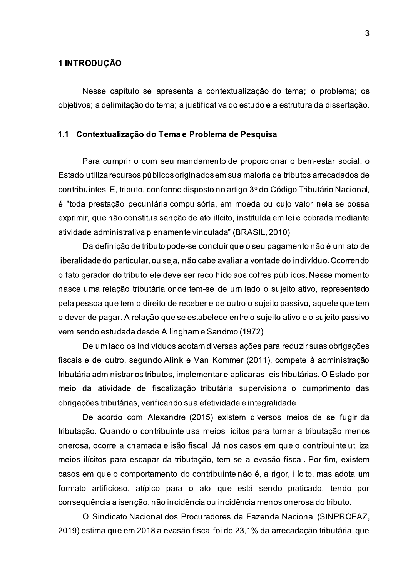### 1 INTRODUÇÃO

Nesse capítulo se apresenta a contextualização do tema; o problema; os objetivos; a delimitação do tema; a justificativa do estudo e a estrutura da dissertação.

#### 1.1 Contextualização do Tema e Problema de Pesquisa

Para cumprir o com seu mandamento de proporcionar o bem-estar social, o Estado utiliza recursos públicos originados em sua maioria de tributos arrecadados de contribuintes. E, tributo, conforme disposto no artigo 3º do Código Tributário Nacional, é "toda prestação pecuniária compulsória, em moeda ou cujo valor nela se possa exprimir, que não constitua sanção de ato ilícito, instituída em lei e cobrada mediante atividade administrativa plenamente vinculada" (BRASIL, 2010).

Da definição de tributo pode-se concluir que o seu pagamento não é um ato de liberalidade do particular, ou seja, não cabe avaliar a vontade do indivíduo. Ocorrendo o fato gerador do tributo ele deve ser recolhido aos cofres públicos. Nesse momento nasce uma relação tributária onde tem-se de um lado o sujeito ativo, representado pela pessoa que tem o direito de receber e de outro o sujeito passivo, aquele que tem o dever de pagar. A relação que se estabelece entre o sujeito ativo e o sujeito passivo vem sendo estudada desde Allingham e Sandmo (1972).

De um lado os indivíduos adotam diversas ações para reduzir suas obrigações fiscais e de outro, segundo Alink e Van Kommer (2011), compete à administração tributária administrar os tributos, implementar e aplicar as leis tributárias. O Estado por meio da atividade de fiscalização tributária supervisiona o cumprimento das obrigações tributárias, verificando sua efetividade e integralidade.

De acordo com Alexandre (2015) existem diversos meios de se fugir da tributação. Quando o contribuinte usa meios lícitos para tornar a tributação menos onerosa, ocorre a chamada elisão fiscal. Já nos casos em que o contribuinte utiliza meios ilícitos para escapar da tributação, tem-se a evasão fiscal. Por fim, existem casos em que o comportamento do contribuinte não é, a rigor, ilícito, mas adota um formato artificioso, atípico para o ato que está sendo praticado, tendo por conseguência a isenção, não incidência ou incidência menos onerosa do tributo.

O Sindicato Nacional dos Procuradores da Fazenda Nacional (SINPROFAZ, 2019) estima que em 2018 a evasão fiscal foi de 23,1% da arrecadação tributária, que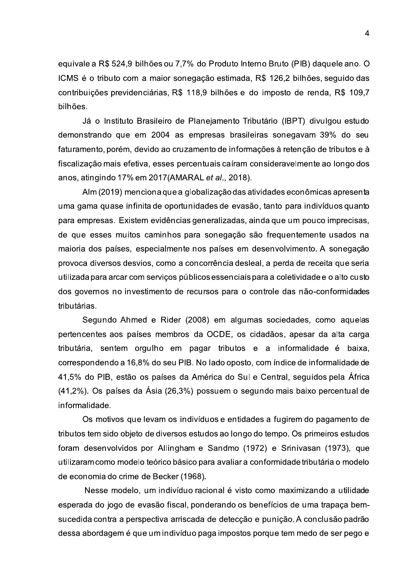equivale a R\$ 524,9 bilhões ou 7,7% do Produto Interno Bruto (PIB) daquele ano. O ICMS é o tributo com a maior sonegação estimada, R\$ 126,2 bilhões, seguido das contribuições previdenciárias, R\$ 118,9 bilhões e do imposto de renda, R\$ 109,7 bilhões.

Já o Instituto Brasileiro de Planejamento Tributário (IBPT) divulgou estudo demonstrando que em 2004 as empresas brasileiras sonegavam 39% do seu faturamento, porém, devido ao cruzamento de informações à retenção de tributos e à fiscalização mais efetiva, esses percentuais caíram consideravelmente ao longo dos anos, atingindo 17% em 2017 (AMARAL et al., 2018).

Alm (2019) menciona que a globalização das atividades econômicas apresenta uma gama quase infinita de oportunidades de evasão, tanto para indivíduos quanto para empresas. Existem evidências generalizadas, ainda que um pouco imprecisas, de que esses muitos caminhos para sonegação são frequentemente usados na maioria dos países, especialmente nos países em desenvolvimento. A sonegação provoca diversos desvios, como a concorrência desleal, a perda de receita que seria utilizada para arcar com serviços públicos essenciais para a coletividade e o alto custo dos governos no investimento de recursos para o controle das não-conformidades tributárias.

Segundo Ahmed e Rider (2008) em algumas sociedades, como aquelas pertencentes aos países membros da OCDE, os cidadãos, apesar da alta carga tributária, sentem orgulho em pagar tributos e a informalidade é baixa, correspondendo a 16,8% do seu PIB. No lado oposto, com índice de informalidade de 41,5% do PIB, estão os países da América do Sul e Central, seguidos pela África (41,2%). Os países da Ásia (26,3%) possuem o segundo mais baixo percentual de informalidade.

Os motivos que levam os indivíduos e entidades a fugirem do pagamento de tributos tem sido objeto de diversos estudos ao longo do tempo. Os primeiros estudos foram desenvolvidos por Allingham e Sandmo (1972) e Srinivasan (1973), que utilizaram como modelo teórico básico para avaliar a conformidade tributária o modelo de economia do crime de Becker (1968).

Nesse modelo, um indivíduo racional é visto como maximizando a utilidade esperada do jogo de evasão fiscal, ponderando os benefícios de uma trapaça bemsucedida contra a perspectiva arriscada de detecção e punição. A conclusão padrão dessa abordagem é que um indivíduo paga impostos porque tem medo de ser pego e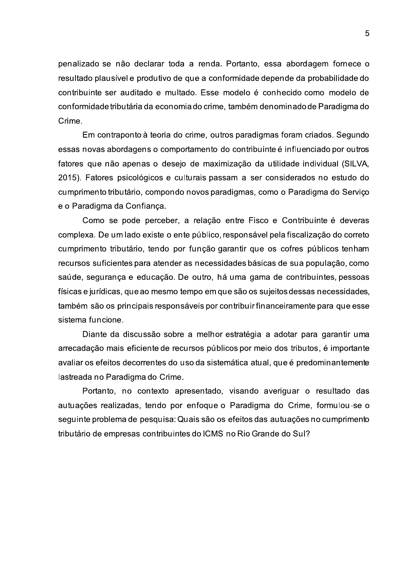penalizado se não declarar toda a renda. Portanto, essa abordagem fornece o resultado plausível e produtivo de que a conformidade depende da probabilidade do contribuinte ser auditado e multado. Esse modelo é conhecido como modelo de conformidade tributária da economia do crime, também denominado de Paradigma do Crime.

Em contraponto à teoria do crime, outros paradigmas foram criados. Segundo essas novas abordagens o comportamento do contribuinte é influenciado por outros fatores que não apenas o desejo de maximização da utilidade individual (SILVA. 2015). Fatores psicológicos e culturais passam a ser considerados no estudo do cumprimento tributário, compondo novos paradigmas, como o Paradigma do Serviço e o Paradigma da Confiança.

Como se pode perceber, a relação entre Fisco e Contribuinte é deveras complexa. De um lado existe o ente público, responsável pela fiscalização do correto cumprimento tributário, tendo por função garantir que os cofres públicos tenham recursos suficientes para atender as necessidades básicas de sua população, como saúde, segurança e educação. De outro, há uma gama de contribuintes, pessoas físicas e jurídicas, que ao mesmo tempo em que são os sujeitos dessas necessidades, também são os principais responsáveis por contribuir financeiramente para que esse sistema funcione.

Diante da discussão sobre a melhor estratégia a adotar para garantir uma arrecadação mais eficiente de recursos públicos por meio dos tributos, é importante avaliar os efeitos decorrentes do uso da sistemática atual, que é predominantemente lastreada no Paradigma do Crime.

Portanto, no contexto apresentado, visando averiguar o resultado das autuações realizadas, tendo por enfoque o Paradigma do Crime, formulou-se o seguinte problema de pesquisa: Quais são os efeitos das autuações no cumprimento tributário de empresas contribuintes do ICMS no Rio Grande do Sul?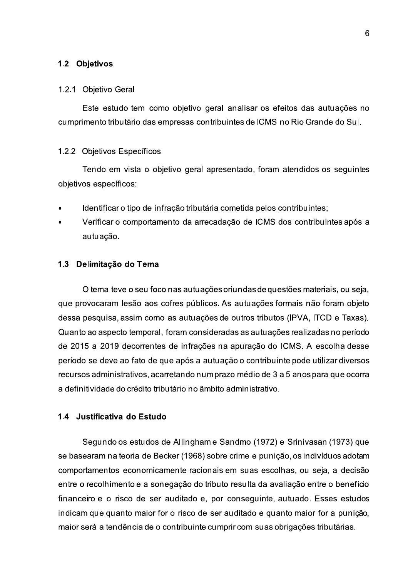#### 1.2 Objetivos

#### 1.2.1 Objetivo Geral

Este estudo tem como objetivo geral analisar os efeitos das autuações no cumprimento tributário das empresas contribuintes de ICMS no Rio Grande do Sul.

#### 1.2.2 Objetivos Específicos

Tendo em vista o objetivo geral apresentado, foram atendidos os seguintes objetivos específicos:

- Identificar o tipo de infração tributária cometida pelos contribuintes;
- Verificar o comportamento da arrecadação de ICMS dos contribuintes após a autuação.

#### 1.3 Delimitação do Tema

O tema teve o seu foco nas autuações oriundas de questões materiais, ou seja, que provocaram lesão aos cofres públicos. As autuações formais não foram objeto dessa pesquisa, assim como as autuações de outros tributos (IPVA, ITCD e Taxas). Quanto ao aspecto temporal, foram consideradas as autuações realizadas no período de 2015 a 2019 decorrentes de infrações na apuração do ICMS. A escolha desse período se deve ao fato de que após a autuação o contribuinte pode utilizar diversos recursos administrativos, acarretando numprazo médio de 3 a 5 anos para que ocorra a definitividade do crédito tributário no âmbito administrativo.

### 1.4 Justificativa do Estudo

Segundo os estudos de Allingham e Sandmo (1972) e Srinivasan (1973) que se basearam na teoria de Becker (1968) sobre crime e punição, os indivíduos adotam comportamentos economicamente racionais em suas escolhas, ou seja, a decisão entre o recolhimento e a sonegação do tributo resulta da avaliação entre o benefício financeiro e o risco de ser auditado e, por conseguinte, autuado. Esses estudos indicam que quanto maior for o risco de ser auditado e quanto maior for a punição, maior será a tendência de o contribuinte cumprir com suas obrigações tributárias.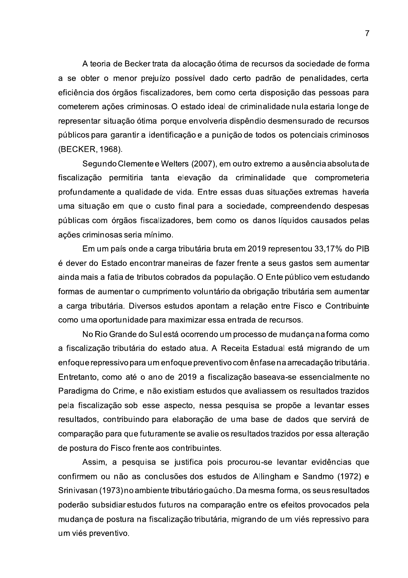A teoria de Becker trata da alocação ótima de recursos da sociedade de forma a se obter o menor prejuízo possível dado certo padrão de penalidades, certa eficiência dos órgãos fiscalizadores, bem como certa disposição das pessoas para cometerem ações criminosas. O estado ideal de criminalidade nula estaria longe de representar situação ótima porque envolveria dispêndio desmensurado de recursos públicos para garantir a identificação e a punição de todos os potenciais criminosos (BECKER, 1968).

Segundo Clemente e Welters (2007), em outro extremo a ausência absoluta de fiscalização permitiria tanta elevação da criminalidade que comprometeria profundamente a qualidade de vida. Entre essas duas situações extremas haveria uma situação em que o custo final para a sociedade, compreendendo despesas públicas com órgãos fiscalizadores, bem como os danos líquidos causados pelas ações criminosas seria mínimo.

Em um país onde a carga tributária bruta em 2019 representou 33,17% do PIB é dever do Estado encontrar maneiras de fazer frente a seus gastos sem aumentar ainda mais a fatia de tributos cobrados da população. O Ente público vem estudando formas de aumentar o cumprimento voluntário da obrigação tributária sem aumentar a carga tributária. Diversos estudos apontam a relação entre Fisco e Contribuinte como uma oportunidade para maximizar essa entrada de recursos.

No Rio Grande do Sul está ocorrendo um processo de mudança na forma como a fiscalização tributária do estado atua. A Receita Estadual está migrando de um enfoque repressivo para um enfoque preventivo com ênfase na arrecadação tributária. Entretanto, como até o ano de 2019 a fiscalização baseava-se essencialmente no Paradigma do Crime, e não existiam estudos que avaliassem os resultados trazidos pela fiscalização sob esse aspecto, nessa pesquisa se propõe a levantar esses resultados, contribuindo para elaboração de uma base de dados que servirá de comparação para que futuramente se avalie os resultados trazidos por essa alteração de postura do Fisco frente aos contribuintes.

Assim, a pesquisa se justifica pois procurou-se levantar evidências que confirmem ou não as conclusões dos estudos de Allingham e Sandmo (1972) e Srinivasan (1973) no ambiente tributário gaúcho. Da mesma forma, os seus resultados poderão subsidiar estudos futuros na comparação entre os efeitos provocados pela mudança de postura na fiscalização tributária, migrando de um viés repressivo para um viés preventivo.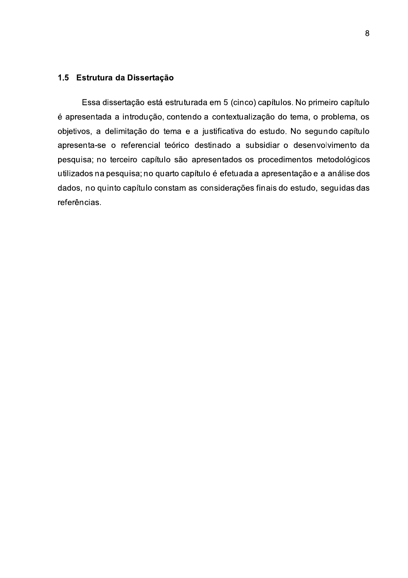#### 1.5 Estrutura da Dissertação

Essa dissertação está estruturada em 5 (cinco) capítulos. No primeiro capítulo é apresentada a introdução, contendo a contextualização do tema, o problema, os objetivos, a delimitação do tema e a justificativa do estudo. No segundo capítulo apresenta-se o referencial teórico destinado a subsidiar o desenvolvimento da pesquisa; no terceiro capítulo são apresentados os procedimentos metodológicos utilizados na pesquisa; no quarto capítulo é efetuada a apresentação e a análise dos dados, no quinto capítulo constam as considerações finais do estudo, seguidas das referências.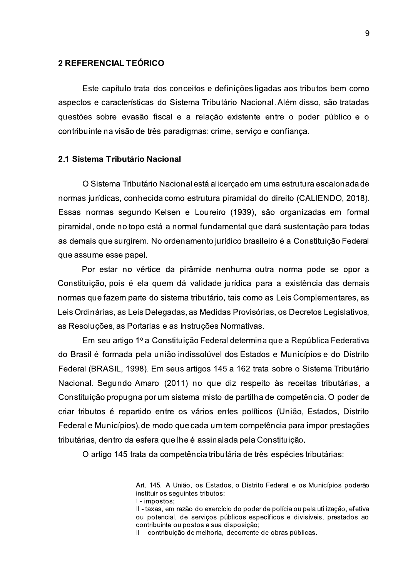### 2 REFERENCIAL TEÓRICO

Este capítulo trata dos conceitos e definições ligadas aos tributos bem como aspectos e características do Sistema Tributário Nacional. Além disso, são tratadas questões sobre evasão fiscal e a relação existente entre o poder público e o contribuinte na visão de três paradigmas: crime, serviço e confiança.

#### 2.1 Sistema Tributário Nacional

O Sistema Tributário Nacional está alicerçado em uma estrutura escalonada de normas jurídicas, conhecida como estrutura piramidal do direito (CALIENDO, 2018). Essas normas segundo Kelsen e Loureiro (1939), são organizadas em formal piramidal, onde no topo está a normal fundamental que dará sustentação para todas as demais que surgirem. No ordenamento jurídico brasileiro é a Constituição Federal que assume esse papel.

Por estar no vértice da pirâmide nenhuma outra norma pode se opor a Constituição, pois é ela quem dá validade jurídica para a existência das demais normas que fazem parte do sistema tributário, tais como as Leis Complementares, as Leis Ordinárias, as Leis Delegadas, as Medidas Provisórias, os Decretos Legislativos. as Resoluções, as Portarias e as Instruções Normativas.

Em seu artigo 1º a Constituição Federal determina que a República Federativa do Brasil é formada pela união indissolúvel dos Estados e Municípios e do Distrito Federal (BRASIL, 1998). Em seus artigos 145 a 162 trata sobre o Sistema Tributário Nacional. Segundo Amaro (2011) no que diz respeito às receitas tributárias, a Constituição propugna por um sistema misto de partilha de competência. O poder de criar tributos é repartido entre os vários entes políticos (União, Estados, Distrito Federal e Municípios), de modo que cada um tem competência para impor prestações tributárias, dentro da esfera que lhe é assinalada pela Constituição.

O artigo 145 trata da competência tributária de três espécies tributárias:

Art. 145. A União, os Estados, o Distrito Federal e os Municípios poderão instituir os sequintes tributos:

I - impostos:

Il - taxas, em razão do exercício do poder de polícia ou pela utilização, efetiva ou potencial, de servicos públicos específicos e divisíveis, prestados ao contribuinte ou postos a sua disposição:

III - contribuição de melhoria, decorrente de obras públicas.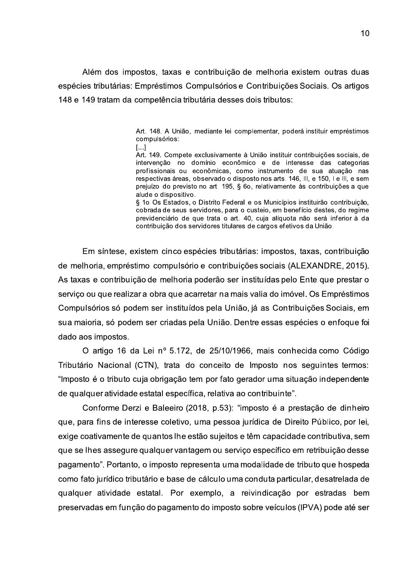Além dos impostos, taxas e contribuição de melhoria existem outras duas espécies tributárias: Empréstimos Compulsórios e Contribuições Sociais. Os artigos 148 e 149 tratam da competência tributária desses dois tributos:

> Art. 148. A União, mediante lei complementar, poderá instituir empréstimos compulsórios:

> $\left[\ldots\right]$ Art. 149. Compete exclusivamente à União instituir contribuicões sociais, de intervenção no domínio econômico e de interesse das categorias profissionais ou econômicas, como instrumento de sua atuação nas respectivas áreas, observado o disposto nos arts. 146, III, e 150, I e III, e sem prejuízo do previsto no art. 195, § 6o, relativamente às contribuições a que alude o dispositivo.

> § 1º Os Estados, o Distrito Federal e os Municípios instituirão contribuicão. cobrada de seus servidores, para o custeio, em benefício destes, do regime previdenciário de que trata o art. 40, cuja alíquota não será inferior à da contribuição dos servidores titulares de cargos efetivos da União.

Em síntese, existem cinco espécies tributárias: impostos, taxas, contribuição de melhoria, empréstimo compulsório e contribuições sociais (ALEXANDRE, 2015). As taxas e contribuição de melhoria poderão ser instituídas pelo Ente que prestar o serviço ou que realizar a obra que acarretar na mais valia do imóvel. Os Empréstimos Compulsórios só podem ser instituídos pela União, já as Contribuições Sociais, em sua maioria, só podem ser criadas pela União. Dentre essas espécies o enfoque foi dado aos impostos.

O artigo 16 da Lei nº 5.172, de 25/10/1966, mais conhecida como Código Tributário Nacional (CTN), trata do conceito de Imposto nos seguintes termos: "Imposto é o tributo cuja obrigação tem por fato gerador uma situação independente de qualquer atividade estatal específica, relativa ao contribuinte".

Conforme Derzi e Baleeiro (2018, p.53): "imposto é a prestação de dinheiro que, para fins de interesse coletivo, uma pessoa jurídica de Direito Público, por lei, exige coativamente de quantos lhe estão sujeitos e têm capacidade contributiva, sem que se lhes assegure qualquer vantagem ou serviço específico em retribuição desse pagamento". Portanto, o imposto representa uma modalidade de tributo que hospeda como fato jurídico tributário e base de cálculo uma conduta particular, desatrelada de qualquer atividade estatal. Por exemplo, a reivindicação por estradas bem preservadas em função do pagamento do imposto sobre veículos (IPVA) pode até ser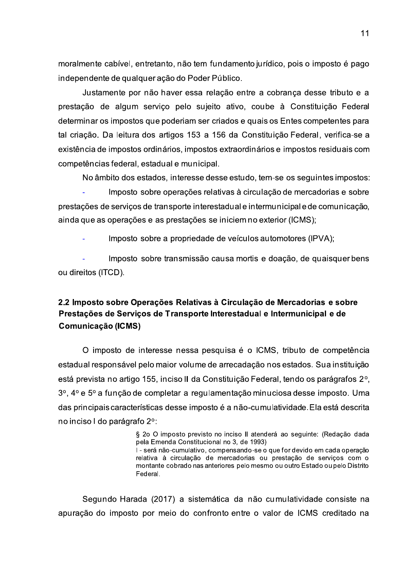moralmente cabível, entretanto, não tem fundamento jurídico, pois o imposto é pago independente de qualquer ação do Poder Público.

Justamente por não haver essa relação entre a cobrança desse tributo e a prestação de algum serviço pelo sujeito ativo, coube à Constituição Federal determinar os impostos que poderiam ser criados e quais os Entes competentes para tal criação. Da leitura dos artigos 153 a 156 da Constituição Federal, verifica-se a existência de impostos ordinários, impostos extraordinários e impostos residuais com competências federal, estadual e municipal.

No âmbito dos estados, interesse desse estudo, tem-se os seguintes impostos:

Imposto sobre operações relativas à circulação de mercadorias e sobre prestações de serviços de transporte interestadual e intermunicipal e de comunicação, ainda que as operações e as prestações se iniciem no exterior (ICMS);

Imposto sobre a propriedade de veículos automotores (IPVA);

Imposto sobre transmissão causa mortis e doação, de quaisquer bens ou direitos (ITCD).

## 2.2 Imposto sobre Operações Relativas à Circulação de Mercadorias e sobre Prestações de Serviços de Transporte Interestadual e Intermunicipal e de Comunicação (ICMS)

O imposto de interesse nessa pesquisa é o ICMS, tributo de competência estadual responsável pelo maior volume de arrecadação nos estados. Sua instituição está prevista no artigo 155, inciso II da Constituição Federal, tendo os parágrafos 2°, 3<sup>o</sup>, 4<sup>o</sup> e 5<sup>o</sup> a função de completar a regulamentação minuciosa desse imposto. Uma das principais características desse imposto é a não-cumulatividade. Ela está descrita no inciso I do parágrafo 2°:

> § 2o O imposto previsto no inciso II atenderá ao seguinte: (Redação dada pela Emenda Constitucional no 3, de 1993)

> I - será não-cumulativo, compensando-se o que for devido em cada operação relativa à circulação de mercadorias ou prestação de serviços com o montante cobrado nas anteriores pelo mesmo ou outro Estado ou pelo Distrito Federal.

Segundo Harada (2017) a sistemática da não cumulatividade consiste na apuração do imposto por meio do confronto entre o valor de ICMS creditado na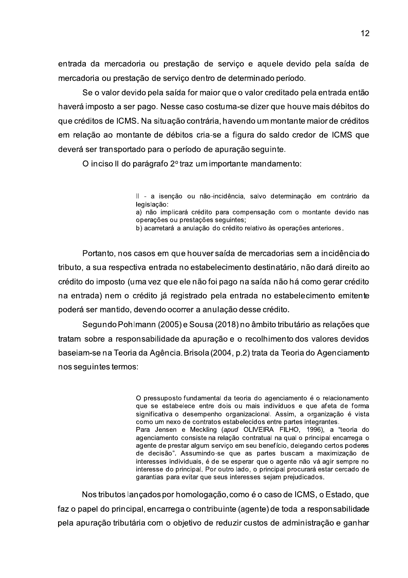entrada da mercadoria ou prestação de serviço e aquele devido pela saída de mercadoria ou prestação de serviço dentro de determinado período.

Se o valor devido pela saída for maior que o valor creditado pela entrada então haverá imposto a ser pago. Nesse caso costuma-se dizer que houve mais débitos do que créditos de ICMS. Na situação contrária, havendo um montante maior de créditos em relação ao montante de débitos cria-se a figura do saldo credor de ICMS que deverá ser transportado para o período de apuração seguinte.

O inciso II do parágrafo 2º traz um importante mandamento:

Il - a isenção ou não-incidência, salvo determinação em contrário da legislacão:

a) não implicará crédito para compensação com o montante devido nas operações ou prestações seguintes;

b) acarretará a anulação do crédito relativo às operações anteriores.

Portanto, nos casos em que houver saída de mercadorias sem a incidência do tributo, a sua respectiva entrada no estabelecimento destinatário, não dará direito ao crédito do imposto (uma vez que ele não foi pago na saída não há como gerar crédito na entrada) nem o crédito já registrado pela entrada no estabelecimento emitente poderá ser mantido, devendo ocorrer a anulação desse crédito.

Segundo Pohlmann (2005) e Sousa (2018) no âmbito tributário as relações que tratam sobre a responsabilidade da apuração e o recolhimento dos valores devidos baseiam-se na Teoria da Agência. Brisola (2004, p.2) trata da Teoria do Agenciamento nos sequintes termos:

> O pressuposto fundamental da teoria do agenciamento é o relacionamento que se estabelece entre dois ou mais indivíduos e que afeta de forma significativa o desempenho organizacional. Assim, a organização é vista como um nexo de contratos estabelecidos entre partes integrantes. Para Jensen e Meckling (apud OLIVEIRA FILHO, 1996), a "teoria do agenciamento consiste na relação contratual na qual o principal encarrega o agente de prestar algum serviço em seu benefício, delegando certos poderes de decisão". Assumindo-se que as partes buscam a maximização de interesses individuais, é de se esperar que o agente não vá agir sempre no interesse do principal. Por outro lado, o principal procurará estar cercado de garantias para evitar que seus interesses sejam prejudicados.

Nos tributos lancados por homologação, como é o caso de ICMS, o Estado, que faz o papel do principal, encarrega o contribuinte (agente) de toda a responsabilidade pela apuração tributária com o objetivo de reduzir custos de administração e ganhar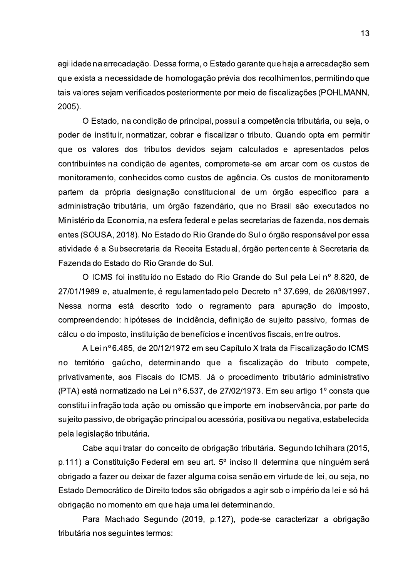agilidade na arrecadação. Dessa forma, o Estado garante que haja a arrecadação sem que exista a necessidade de homologação prévia dos recolhimentos, permitindo que tais valores sejam verificados posteriormente por meio de fiscalizações (POHLMANN,  $2005$ ).

O Estado, na condição de principal, possui a competência tributária, ou seja, o poder de instituir, normatizar, cobrar e fiscalizar o tributo. Quando opta em permitir que os valores dos tributos devidos sejam calculados e apresentados pelos contribuintes na condição de agentes, compromete-se em arcar com os custos de monitoramento, conhecidos como custos de agência. Os custos de monitoramento partem da própria designação constitucional de um órgão específico para a administração tributária, um órgão fazendário, que no Brasil são executados no Ministério da Economia, na esfera federal e pelas secretarias de fazenda, nos demais entes (SOUSA, 2018). No Estado do Rio Grande do Sulo órgão responsável por essa atividade é a Subsecretaria da Receita Estadual, órgão pertencente à Secretaria da Fazenda do Estado do Rio Grande do Sul.

O ICMS foi instituído no Estado do Rio Grande do Sul pela Lei nº 8.820, de 27/01/1989 e, atualmente, é regulamentado pelo Decreto nº 37.699, de 26/08/1997. Nessa norma está descrito todo o regramento para apuração do imposto, compreendendo: hipóteses de incidência, definição de sujeito passivo, formas de cálculo do imposto, instituição de benefícios e incentivos fiscais, entre outros.

A Lei nº 6.485, de 20/12/1972 em seu Capítulo X trata da Fiscalização do ICMS no território gaúcho, determinando que a fiscalização do tributo compete, privativamente, aos Fiscais do ICMS. Já o procedimento tributário administrativo (PTA) está normatizado na Lei nº 6.537, de 27/02/1973. Em seu artigo 1º consta que constitui infração toda ação ou omissão que importe em inobservância, por parte do sujeito passivo, de obrigação principal ou acessória, positiva ou negativa, estabelecida pela legislação tributária.

Cabe aqui tratar do conceito de obrigação tributária. Segundo Ichihara (2015, p.111) a Constituição Federal em seu art. 5<sup>°</sup> inciso II determina que ninguém será obrigado a fazer ou deixar de fazer alguma coisa senão em virtude de lei, ou seja, no Estado Democrático de Direito todos são obrigados a agir sob o império da lei e só há obrigação no momento em que haja uma lei determinando.

Para Machado Segundo (2019, p.127), pode-se caracterizar a obrigação tributária nos seguintes termos: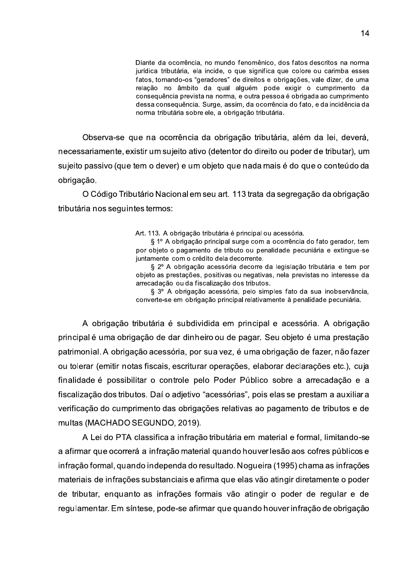Diante da ocorrência, no mundo fenomênico, dos fatos descritos na norma jurídica tributária, ela incide, o que significa que colore ou carimba esses fatos, tornando-os "geradores" de direitos e obrigações, vale dizer, de uma relação no âmbito da qual alquém pode exigir o cumprimento da conseguência prevista na norma, e outra pessoa é obrigada ao cumprimento dessa consequência. Surge, assim, da ocorrência do fato, e da incidência da norma tributária sobre ele, a obrigação tributária.

Observa-se que na ocorrência da obrigação tributária, além da lei, deverá, necessariamente, existir um sujeito ativo (detentor do direito ou poder de tributar), um sujeito passivo (que tem o dever) e um objeto que nada mais é do que o conteúdo da obrigação.

O Código Tributário Nacional em seu art. 113 trata da segregação da obrigação tributária nos seguintes termos:

Art. 113. A obrigação tributária é principal ou acessória.

§ 1º A obrigação principal surge com a ocorrência do fato gerador, tem por objeto o pagamento de tributo ou penalidade pecuniária e extingue-se juntamente com o crédito dela decorrente.

§ 2º A obrigação acessória decorre da legislação tributária e tem por objeto as prestações, positivas ou negativas, nela previstas no interesse da arrecadação ou da fiscalização dos tributos.

§ 3º A obrigação acessória, pelo simples fato da sua inobservância, converte-se em obrigação principal relativamente à penalidade pecuniária.

A obrigação tributária é subdividida em principal e acessória. A obrigação principal é uma obrigação de dar dinheiro ou de pagar. Seu objeto é uma prestação patrimonial. A obrigação acessória, por sua vez, é uma obrigação de fazer, não fazer ou tolerar (emitir notas fiscais, escriturar operações, elaborar declarações etc.), cuja finalidade é possibilitar o controle pelo Poder Público sobre a arrecadação e a fiscalização dos tributos. Daí o adjetivo "acessórias", pois elas se prestam a auxiliar a verificação do cumprimento das obrigações relativas ao pagamento de tributos e de multas (MACHADO SEGUNDO, 2019).

A Lei do PTA classifica a infração tributária em material e formal, limitando-se a afirmar que ocorrerá a infração material quando houver lesão aos cofres públicos e infração formal, quando independa do resultado. Nogueira (1995) chama as infrações materiais de infrações substanciais e afirma que elas vão atingir diretamente o poder de tributar, enquanto as infrações formais vão atingir o poder de regular e de regulamentar. Em síntese, pode-se afirmar que quando houver infração de obrigação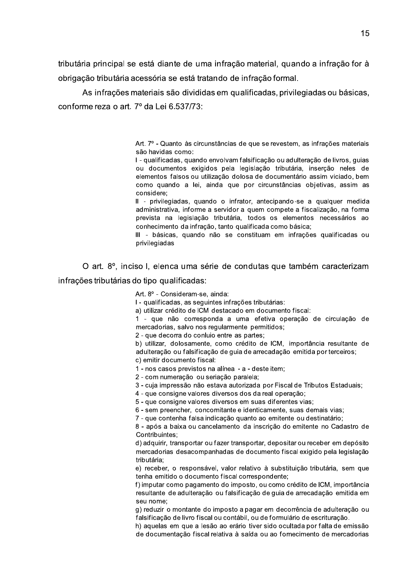tributária principal se está diante de uma infração material, quando a infração for à obrigação tributária acessória se está tratando de infração formal.

As infrações materiais são divididas em qualificadas, privilegiadas ou básicas, conforme reza o art. 7º da Lei 6.537/73:

> Art. 7º - Quanto às circunstâncias de que se revestem, as infrações materiais são havidas como:

> I - qualificadas, quando envolvam falsificação ou adulteração de livros, quias ou documentos exigidos pela legislação tributária, inserção neles de elementos falsos ou utilização dolosa de documentário assim viciado, bem como quando a lei, ainda que por circunstâncias obietivas, assim as considere:

> Il - privilegiadas, quando o infrator, antecipando-se a qualquer medida administrativa, informe a servidor a quem compete a fiscalização, na forma prevista na legislação tributária, todos os elementos necessários ao conhecimento da infração, tanto qualificada como básica;

> III - básicas, quando não se constituam em infrações qualificadas ou privilegiadas

O art. 8º, inciso I, elenca uma série de condutas que também caracterizam infrações tributárias do tipo qualificadas:

Art. 8º - Consideram-se, ainda:

I - qualificadas, as seguintes infrações tributárias:

a) utilizar crédito de ICM destacado em documento fiscal:

1 - que não corresponda a uma efetiva operação de circulação de mercadorias, salvo nos regularmente permitidos;

2 - que decorra do conluio entre as partes:

b) utilizar, dolosamente, como crédito de ICM, importância resultante de adulteração ou falsificação de guia de arrecadação emitida por terceiros; c) emitir documento fiscal:

1 - nos casos previstos na alínea - a - deste item;

2 - com numeração ou seriação paralela;

3 - cuja impressão não estava autorizada por Fiscal de Tributos Estaduais;

4 - que consigne valores diversos dos da real operação;

5 - que consigne valores diversos em suas diferentes vias;

6 - sem preencher, concomitante e identicamente, suas demais vias;

7 - que contenha falsa indicação quanto ao emitente ou destinatário:

8 - após a baixa ou cancelamento da inscrição do emitente no Cadastro de Contribuintes;

d) adquirir, transportar ou fazer transportar, depositar ou receber em depósito mercadorias desacompanhadas de documento fiscal exigido pela legislação tributária;

e) receber, o responsável, valor relativo à substituição tributária, sem que tenha emitido o documento fiscal correspondente;

f) imputar como pagamento do imposto, ou como crédito de ICM, importância resultante de adulteração ou falsificação de quia de arrecadação emitida em seu nome:

g) reduzir o montante do imposto a pagar em decorrência de adulteração ou falsificação de livro fiscal ou contábil, ou de formulário de escrituração.

h) aquelas em que a lesão ao erário tiver sido ocultada por falta de emissão de documentação fiscal relativa à saída ou ao fornecimento de mercadorias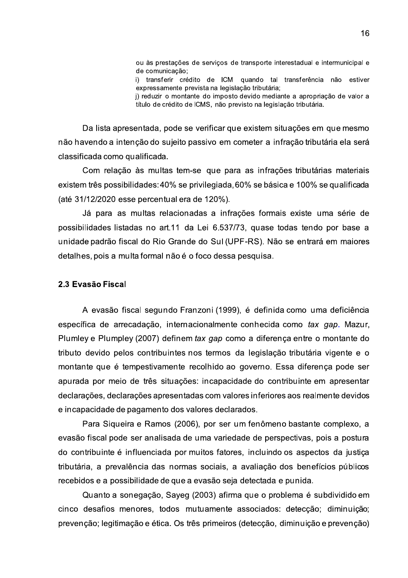ou às prestações de serviços de transporte interestadual e intermunicipal e de comunicação;

i) transferir crédito de ICM quando tal transferência não estiver expressamente prevista na legislação tributária:

i) reduzir o montante do imposto devido mediante a apropriação de valor a título de crédito de ICMS, não previsto na legislação tributária.

Da lista apresentada, pode se verificar que existem situações em que mesmo não havendo a intenção do sujeito passivo em cometer a infração tributária ela será classificada como qualificada.

Com relação às multas tem-se que para as infrações tributárias materiais existem três possibilidades: 40% se privilegiada, 60% se básica e 100% se qualificada (até 31/12/2020 esse percentual era de 120%).

Já para as multas relacionadas a infrações formais existe uma série de possibilidades listadas no art.11 da Lei 6.537/73, quase todas tendo por base a unidade padrão fiscal do Rio Grande do Sul (UPF-RS). Não se entrará em maiores detalhes, pois a multa formal não é o foco dessa pesquisa.

#### 2.3 Evasão Fiscal

A evasão fiscal segundo Franzoni (1999), é definida como uma deficiência específica de arrecadação, internacionalmente conhecida como tax gap. Mazur, Plumley e Plumpley (2007) definem tax gap como a diferença entre o montante do tributo devido pelos contribuintes nos termos da legislação tributária vigente e o montante que é tempestivamente recolhido ao governo. Essa diferença pode ser apurada por meio de três situações: incapacidade do contribuinte em apresentar declarações, declarações apresentadas com valores inferiores aos realmente devidos e incapacidade de pagamento dos valores declarados.

Para Siqueira e Ramos (2006), por ser um fenômeno bastante complexo, a evasão fiscal pode ser analisada de uma variedade de perspectivas, pois a postura do contribuinte é influenciada por muitos fatores, incluindo os aspectos da justiça tributária, a prevalência das normas sociais, a avaliação dos benefícios públicos recebidos e a possibilidade de que a evasão seja detectada e punida.

Quanto a sonegação, Sayeg (2003) afirma que o problema é subdividido em cinco desafios menores, todos mutuamente associados: detecção; diminuição; prevenção; legitimação e ética. Os três primeiros (detecção, diminuição e prevenção)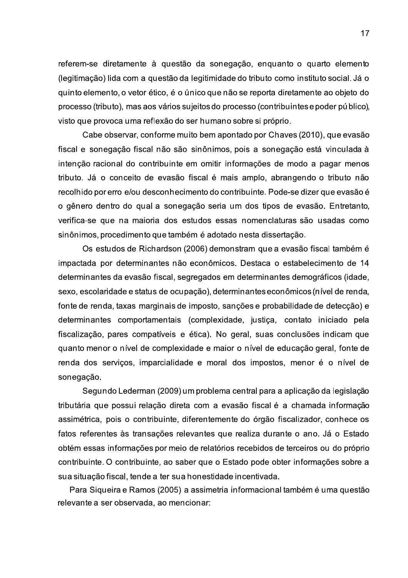referem-se diretamente à questão da sonegação, enquanto o quarto elemento (legitimação) lida com a questão da legitimidade do tributo como instituto social. Já o quinto elemento, o vetor ético, é o único que não se reporta diretamente ao objeto do processo (tributo), mas aos vários sujeitos do processo (contribuintes e poder público), visto que provoca uma reflexão do ser humano sobre si próprio.

Cabe observar, conforme muito bem apontado por Chaves (2010), que evasão fiscal e sonegação fiscal não são sinônimos, pois a sonegação está vinculada à intenção racional do contribuinte em omitir informações de modo a pagar menos tributo. Já o conceito de evasão fiscal é mais amplo, abrangendo o tributo não recolhido por erro e/ou desconhecimento do contribuinte. Pode-se dizer que evasão é o gênero dentro do qual a sonegação seria um dos tipos de evasão. Entretanto, verifica-se que na maioria dos estudos essas nomenclaturas são usadas como sinônimos, procedimento que também é adotado nesta dissertação.

Os estudos de Richardson (2006) demonstram que a evasão fiscal também é impactada por determinantes não econômicos. Destaca o estabelecimento de 14 determinantes da evasão fiscal, segregados em determinantes demográficos (idade, sexo, escolaridade e status de ocupação), determinantes econômicos (nível de renda, fonte de renda, taxas marginais de imposto, sanções e probabilidade de detecção) e determinantes comportamentais (complexidade, justiça, contato iniciado pela fiscalização, pares compatíveis e ética). No geral, suas conclusões indicam que quanto menor o nível de complexidade e maior o nível de educação geral, fonte de renda dos serviços, imparcialidade e moral dos impostos, menor é o nível de sonegação.

Segundo Lederman (2009) um problema central para a aplicação da legislação tributária que possui relação direta com a evasão fiscal é a chamada informação assimétrica, pois o contribuinte, diferentemente do órgão fiscalizador, conhece os fatos referentes às transações relevantes que realiza durante o ano. Já o Estado obtém essas informações por meio de relatórios recebidos de terceiros ou do próprio contribuinte. O contribuinte, ao saber que o Estado pode obter informações sobre a sua situação fiscal, tende a ter sua honestidade incentivada.

Para Siqueira e Ramos (2005) a assimetria informacional também é uma questão relevante a ser observada, ao mencionar: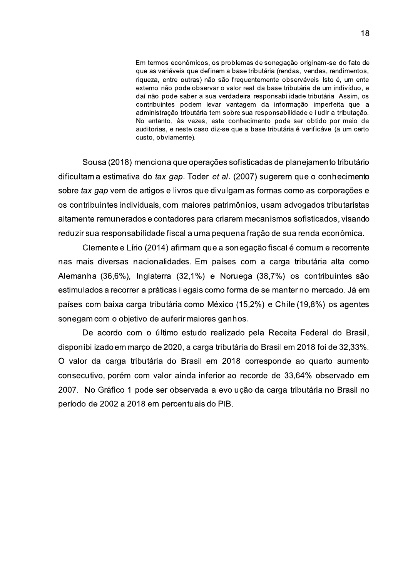Em termos econômicos, os problemas de sonegação originam-se do fato de que as variáveis que definem a base tributária (rendas, vendas, rendimentos, riqueza, entre outras) não são frequentemente observáveis. Isto é, um ente externo não pode observar o valor real da base tributária de um indivíduo, e daí não pode saber a sua verdadeira responsabilidade tributária. Assim, os contribuintes podem levar vantagem da informação imperfeita que a administração tributária tem sobre sua responsabilidade e iludir a tributação. No entanto, às vezes, este conhecimento pode ser obtido por meio de auditorias, e neste caso diz-se que a base tributária é verificável (a um certo custo, obviamente).

Sousa (2018) menciona que operações sofisticadas de planejamento tributário dificultam a estimativa do tax gap. Toder et al. (2007) sugerem que o conhecimento sobre tax gap vem de artigos e livros que divulgam as formas como as corporações e os contribuintes individuais, com maiores patrimônios, usam advogados tributaristas altamente remunerados e contadores para criarem mecanismos sofisticados, visando reduzir sua responsabilidade fiscal a uma pequena fração de sua renda econômica.

Clemente e Lírio (2014) afirmam que a son egação fiscal é comum e recorrente nas mais diversas nacionalidades. Em países com a carga tributária alta como Alemanha (36,6%), Inglaterra (32,1%) e Noruega (38,7%) os contribuintes são estimulados a recorrer a práticas ilegais como forma de se manter no mercado. Já em países com baixa carga tributária como México (15,2%) e Chile (19,8%) os agentes sonegam com o objetivo de auferir maiores ganhos.

De acordo com o último estudo realizado pela Receita Federal do Brasil, disponibilizado em março de 2020, a carga tributária do Brasil em 2018 foi de 32,33%. O valor da carga tributária do Brasil em 2018 corresponde ao quarto aumento consecutivo, porém com valor ainda inferior ao recorde de 33,64% observado em 2007. No Gráfico 1 pode ser observada a evolução da carga tributária no Brasil no período de 2002 a 2018 em percentuais do PIB.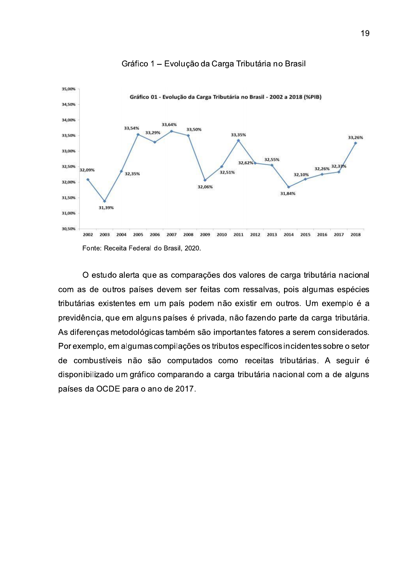

#### Gráfico 1 - Evolução da Carga Tributária no Brasil

O estudo alerta que as comparações dos valores de carga tributária nacional com as de outros países devem ser feitas com ressalvas, pois algumas espécies tributárias existentes em um país podem não existir em outros. Um exemplo é a previdência, que em alguns países é privada, não fazendo parte da carga tributária. As diferenças metodológicas também são importantes fatores a serem considerados. Por exemplo, em algumas compilações os tributos específicos incidentes sobre o setor de combustíveis não são computados como receitas tributárias. A seguir é disponibilizado um gráfico comparando a carga tributária nacional com a de alguns países da OCDE para o ano de 2017.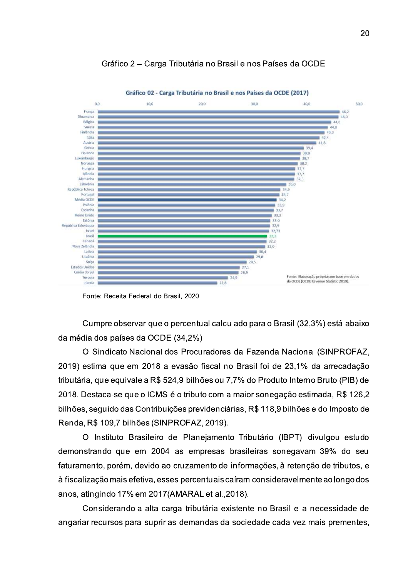

Gráfico 2 - Carga Tributária no Brasil e nos Países da OCDE

Fonte: Receita Federal do Brasil, 2020.

Cumpre observar que o percentual calculado para o Brasil (32,3%) está abaixo da média dos países da OCDE (34,2%)

O Sindicato Nacional dos Procuradores da Fazenda Nacional (SINPROFAZ, 2019) estima que em 2018 a evasão fiscal no Brasil foi de 23,1% da arrecadação tributária, que equivale a R\$ 524,9 bilhões ou 7,7% do Produto Interno Bruto (PIB) de 2018. Destaca-se que o ICMS é o tributo com a maior sonegação estimada, R\$ 126,2 bilhões, seguido das Contribuições previdenciárias, R\$ 118,9 bilhões e do Imposto de Renda, R\$ 109,7 bilhões (SINPROFAZ, 2019).

O Instituto Brasileiro de Planejamento Tributário (IBPT) divulgou estudo demonstrando que em 2004 as empresas brasileiras sonegavam 39% do seu faturamento, porém, devido ao cruzamento de informações, à retenção de tributos, e à fiscalização mais efetiva, esses percentuais caíram consideravelmente ao longo dos anos, atingindo 17% em 2017 (AMARAL et al., 2018).

Considerando a alta carga tributária existente no Brasil e a necessidade de angariar recursos para suprir as demandas da sociedade cada vez mais prementes.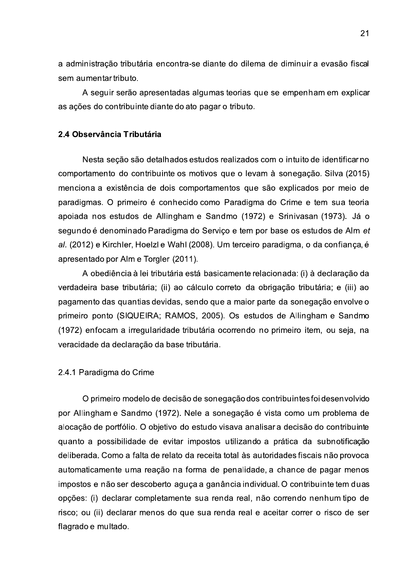a administração tributária encontra-se diante do dilema de diminuir a evasão fiscal sem aumentar tributo.

A seguir serão apresentadas algumas teorias que se empenham em explicar as ações do contribuinte diante do ato pagar o tributo.

### 2.4 Observância Tributária

Nesta seção são detalhados estudos realizados com o intuito de identificar no comportamento do contribuinte os motivos que o levam à sonegação. Silva (2015) menciona a existência de dois comportamentos que são explicados por meio de paradigmas. O primeiro é conhecido como Paradigma do Crime e tem sua teoria apoiada nos estudos de Allingham e Sandmo (1972) e Srinivasan (1973). Já o segundo é denominado Paradigma do Serviço e tem por base os estudos de Alm et al. (2012) e Kirchler, Hoelzl e Wahl (2008). Um terceiro paradigma, o da confiança, é apresentado por Alm e Torgler (2011).

A obediência à lei tributária está basicamente relacionada: (i) à declaração da verdadeira base tributária; (ii) ao cálculo correto da obrigação tributária; e (iii) ao pagamento das quantias devidas, sendo que a maior parte da sonegação envolve o primeiro ponto (SIQUEIRA; RAMOS, 2005). Os estudos de Allingham e Sandmo (1972) enfocam a irregularidade tributária ocorrendo no primeiro item, ou seja, na veracidade da declaração da base tributária.

#### 2.4.1 Paradigma do Crime

O primeiro modelo de decisão de sonegação dos contribuintes foi desenvolvido por Allingham e Sandmo (1972). Nele a sonegação é vista como um problema de alocação de portfólio. O objetivo do estudo visava analisar a decisão do contribuinte quanto a possibilidade de evitar impostos utilizando a prática da subnotificação deliberada. Como a falta de relato da receita total às autoridades fiscais não provoca automaticamente uma reação na forma de penalidade, a chance de pagar menos impostos e não ser descoberto aguça a ganância individual. O contribuinte tem duas opções: (i) declarar completamente sua renda real, não correndo nenhum tipo de risco; ou (ii) declarar menos do que sua renda real e aceitar correr o risco de ser flagrado e multado.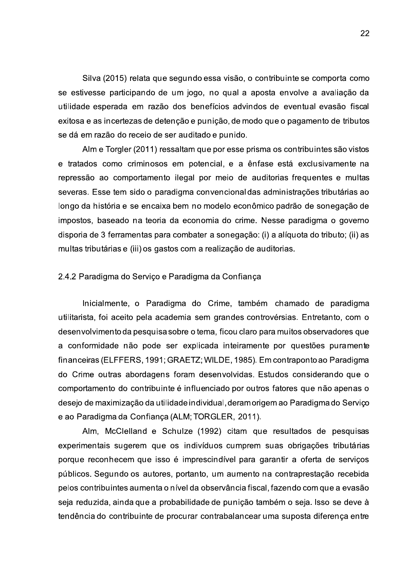Silva (2015) relata que segundo essa visão, o contribuinte se comporta como se estivesse participando de um jogo, no qual a aposta envolve a avaliação da utilidade esperada em razão dos benefícios advindos de eventual evasão fiscal exitosa e as incertezas de detenção e punição, de modo que o pagamento de tributos se dá em razão do receio de ser auditado e punido.

Alm e Torgler (2011) ressaltam que por esse prisma os contribuintes são vistos e tratados como criminosos em potencial, e a ênfase está exclusivamente na repressão ao comportamento ilegal por meio de auditorias frequentes e multas severas. Esse tem sido o paradigma convencional das administrações tributárias ao longo da história e se encaixa bem no modelo econômico padrão de sonegação de impostos, baseado na teoria da economia do crime. Nesse paradigma o governo disporia de 3 ferramentas para combater a sonegação: (i) a alíquota do tributo; (ii) as multas tributárias e (iii) os gastos com a realização de auditorias.

#### 2.4.2 Paradigma do Serviço e Paradigma da Confiança

Inicialmente, o Paradigma do Crime, também chamado de paradigma utilitarista, foi aceito pela academia sem grandes controvérsias. Entretanto, com o desenvolvimento da pesquisa sobre o tema, ficou claro para muitos observadores que a conformidade não pode ser explicada inteiramente por questões puramente financeiras (ELFFERS, 1991; GRAETZ; WILDE, 1985). Em contraponto ao Paradigma do Crime outras abordagens foram desenvolvidas. Estudos considerando que o comportamento do contribuinte é influenciado por outros fatores que não apenas o desejo de maximização da utilidade individual, deramorigem ao Paradigma do Servico e ao Paradigma da Confiança (ALM; TORGLER, 2011).

Alm, McClelland e Schulze (1992) citam que resultados de pesquisas experimentais sugerem que os indivíduos cumprem suas obrigações tributárias porque reconhecem que isso é imprescindível para garantir a oferta de serviços públicos. Segundo os autores, portanto, um aumento na contraprestação recebida pelos contribuintes aumenta o nível da observância fiscal, fazendo com que a evasão seja reduzida, ainda que a probabilidade de punição também o seja. Isso se deve à tendência do contribuinte de procurar contrabalancear uma suposta diferenca entre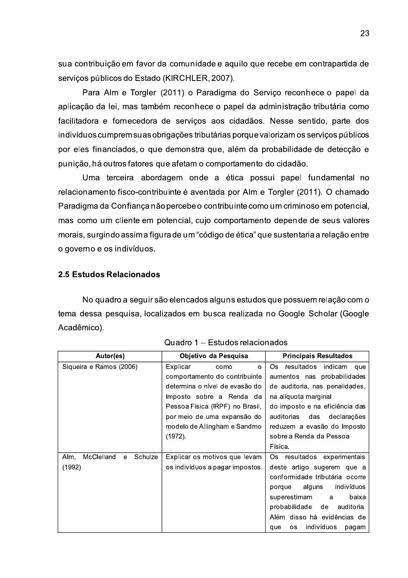sua contribuição em favor da comunidade e aquilo que recebe em contrapartida de serviços públicos do Estado (KIRCHLER, 2007).

Para Alm e Torgler (2011) o Paradigma do Serviço reconhece o papel da aplicação da lei, mas também reconhece o papel da administração tributária como facilitadora e fornecedora de serviços aos cidadãos. Nesse sentido, parte dos indivíduos cumprem suas obrigações tributárias porque valorizam os serviços públicos por eles financiados, o que demonstra que, além da probabilidade de detecção e punição, há outros fatores que afetam o comportamento do cidadão.

Uma terceira abordagem onde a ética possui papel fundamental no relacionamento fisco-contribuinte é aventada por Alm e Torgler (2011). O chamado Paradigma da Confiança não percebe o contribuinte como um criminoso em potencial, mas como um cliente em potencial, cujo comportamento depende de seus valores morais, surgindo assima figura de um "código de ética" que sustentaria a relação entre o governo e os indivíduos.

### 2.5 Estudos Relacionados

No quadro a seguir são elencados alguns estudos que possuem relação com o tema dessa pesquisa, localizados em busca realizada no Google Scholar (Google Acadêmico).

| Autor(es)                                    | Objetivo da Pesquisa            | <b>Principais Resultados</b>     |
|----------------------------------------------|---------------------------------|----------------------------------|
| Siqueira e Ramos (2006)                      | Explicar<br>como<br>$\circ$     | Os.<br>resultados indicam<br>que |
|                                              | comportamento do contribuinte   | aumentos nas probabilidades      |
|                                              | determina o nível de evasão do  | de auditoria, nas penalidades,   |
|                                              | Imposto sobre a Renda da        | na alíquota marginal             |
|                                              | Pessoa Física (IRPF) no Brasil, | do imposto e na eficiência das   |
|                                              | por meio de uma expansão do     | auditorias<br>das declarações    |
|                                              | modelo de Allingham e Sandmo    | reduzem a evasão do Imposto      |
|                                              | (1972).                         | sobre a Renda da Pessoa          |
|                                              |                                 | Física.                          |
| McClelland<br>Schulze<br>Alm.<br>$\mathbf e$ | Explicar os motivos que levam   | resultados experimentais<br>Os   |
| (1992)                                       | os indivíduos a pagar impostos. | deste artigo sugerem que a       |
|                                              |                                 |                                  |
|                                              |                                 | conformidade tributária ocorre   |
|                                              |                                 | alguns<br>indivíduos<br>porque   |
|                                              |                                 | superestimam<br>baixa<br>a       |
|                                              |                                 | probabilidade de<br>auditoria.   |
|                                              |                                 | Além disso há evidências de      |

|  |  |  | Quadro 1 – Estudos relacionados |
|--|--|--|---------------------------------|
|--|--|--|---------------------------------|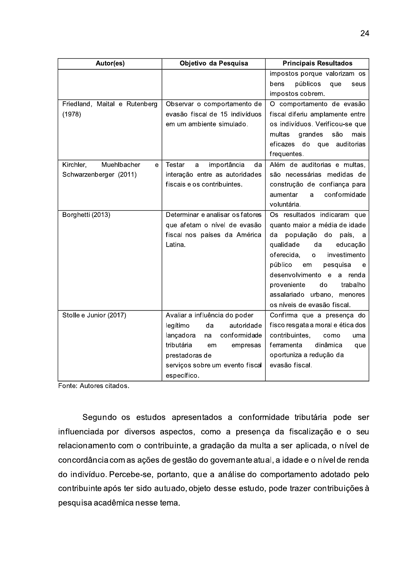| Autor(es)                     | Objetivo da Pesquisa                    | <b>Principais Resultados</b>                              |
|-------------------------------|-----------------------------------------|-----------------------------------------------------------|
|                               |                                         | impostos porque valorizam os                              |
|                               |                                         | públicos<br>bens<br>que<br>seus                           |
|                               |                                         | impostos cobrem.                                          |
| Friedland, Maital e Rutenberg | Observar o comportamento de             | O comportamento de evasão                                 |
| (1978)                        | evasão fiscal de 15 indivíduos          | fiscal diferiu amplamente entre                           |
|                               | em um ambiente simulado.                | os indivíduos. Verificou-se que                           |
|                               |                                         | são<br>multas<br>grandes<br>mais                          |
|                               |                                         | do<br>eficazes<br>que<br>auditorias                       |
|                               |                                         | frequentes.                                               |
| Muehlbacher<br>Kirchler,<br>e | Testar<br>importância<br>da<br>a        | Além de auditorias e multas,                              |
| Schwarzenberger (2011)        | interação entre as autoridades          | são necessárias medidas de                                |
|                               | fiscais e os contribuintes.             | construção de confiança para                              |
|                               |                                         | conformidade<br>aumentar<br>a                             |
|                               |                                         | voluntária.                                               |
| Borghetti (2013)              | Determinar e analisar os fatores        | Os resultados indicaram que                               |
|                               | que afetam o nível de evasão            | quanto maior a média de idade                             |
|                               | fiscal nos países da América<br>Latina. | da população do<br>país,<br>- a                           |
|                               |                                         | qualidade<br>da<br>educação<br>oferecida,<br>investimento |
|                               |                                         | $\Omega$<br>público<br>pesquisa<br>em<br>e                |
|                               |                                         | desenvolvimento e a renda                                 |
|                               |                                         | trabalho<br>proveniente<br>do                             |
|                               |                                         | assalariado urbano, menores                               |
|                               |                                         | os níveis de evasão fiscal.                               |
| Stolle e Junior (2017)        | Avaliar a influência do poder           | Confirma que a presença do                                |
|                               | legítimo<br>da<br>autoridade            | fisco resgata a moral e ética dos                         |
|                               | lançadora<br>conformidade<br>na         | contribuintes,<br>como<br>uma                             |
|                               | tributária<br>empresas<br>em            | ferramenta<br>dinâmica<br>que                             |
|                               | prestadoras de                          | oportuniza a redução da                                   |
|                               | serviços sobre um evento fiscal         | evasão fiscal.                                            |
|                               | específico.                             |                                                           |

Fonte: Autores citados.

Segundo os estudos apresentados a conformidade tributária pode ser influenciada por diversos aspectos, como a presença da fiscalização e o seu relacionamento com o contribuinte, a gradação da multa a ser aplicada, o nível de concordância com as ações de gestão do governante atual, a idade e o nível de renda do indivíduo. Percebe-se, portanto, que a análise do comportamento adotado pelo contribuinte após ter sido autuado, objeto desse estudo, pode trazer contribuições à pesquisa acadêmica nesse tema.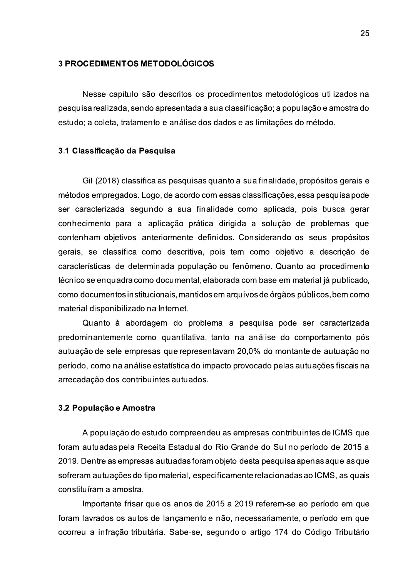#### **3 PROCEDIMENTOS METODOLÓGICOS**

Nesse capítulo são descritos os procedimentos metodológicos utilizados na pesquisa realizada, sendo apresentada a sua classificação; a população e amostra do estudo; a coleta, tratamento e análise dos dados e as limitações do método.

#### 3.1 Classificação da Pesquisa

Gil (2018) classifica as pesquisas quanto a sua finalidade, propósitos gerais e métodos empregados. Logo, de acordo com essas classificações, essa pesquisa pode ser caracterizada segundo a sua finalidade como aplicada, pois busca gerar conhecimento para a aplicação prática dirigida a solução de problemas que contenham objetivos anteriormente definidos. Considerando os seus propósitos gerais, se classifica como descritiva, pois tem como objetivo a descrição de características de determinada população ou fenômeno. Quanto ao procedimento técnico se enquadra como documental, elaborada com base em material já publicado, como documentos institucionais, mantidos em arquivos de órgãos públicos, bem como material disponibilizado na Internet.

Quanto à abordagem do problema a pesquisa pode ser caracterizada predominantemente como quantitativa, tanto na análise do comportamento pós autuação de sete empresas que representavam 20,0% do montante de autuação no período, como na análise estatística do impacto provocado pelas autuações fiscais na arrecadação dos contribuintes autuados.

#### 3.2 População e Amostra

A população do estudo compreendeu as empresas contribuintes de ICMS que foram autuadas pela Receita Estadual do Rio Grande do Sul no período de 2015 a 2019. Dentre as empresas autuadas foram objeto desta pesquisa apenas aquelas que sofreram autuações do tipo material, especificamente relacionadas ao ICMS, as quais constituíram a amostra.

Importante frisar que os anos de 2015 a 2019 referem-se ao período em que foram lavrados os autos de lançamento e não, necessariamente, o período em que ocorreu a infração tributária. Sabe-se, segundo o artigo 174 do Código Tributário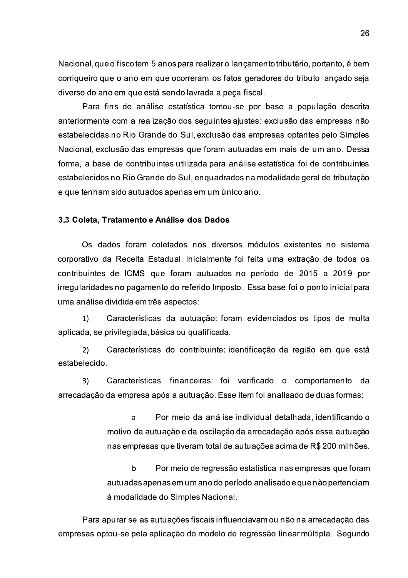Nacional, que o fisco tem 5 anos para realizar o lançamento tributário, portanto, é bem corriqueiro que o ano em que ocorreram os fatos geradores do tributo lançado seja diverso do ano em que está sendo lavrada a peça fiscal.

Para fins de análise estatística tomou-se por base a população descrita anteriormente com a realização dos seguintes ajustes: exclusão das empresas não estabelecidas no Rio Grande do Sul, exclusão das empresas optantes pelo Simples Nacional, exclusão das empresas que foram autuadas em mais de um ano. Dessa forma, a base de contribuintes utilizada para análise estatística foi de contribuintes estabelecidos no Rio Grande do Sul, enquadrados na modalidade geral de tributação e que tenham sido autuados apenas em um único ano.

#### 3.3 Coleta, Tratamento e Análise dos Dados

Os dados foram coletados nos diversos módulos existentes no sistema corporativo da Receita Estadual. Inicialmente foi feita uma extração de todos os contribuintes de ICMS que foram autuados no período de 2015 a 2019 por irregularidades no pagamento do referido Imposto. Essa base foi o ponto inicial para uma análise dividida em três aspectos:

 $1)$ Características da autuação: foram evidenciados os tipos de multa aplicada, se privilegiada, básica ou qualificada.

Características do contribuinte: identificação da região em que está  $2)$ estabelecido.

Características financeiras: foi verificado o comportamento da  $3)$ arrecadação da empresa após a autuação. Esse item foi analisado de duas formas:

> $\overline{a}$ Por meio da análise individual detalhada, identificando o motivo da autuação e da oscilação da arrecadação após essa autuação nas empresas que tiveram total de autuações acima de R\$ 200 milhões.

> $\mathbf b$ Por meio de regressão estatística nas empresas que foram autuadas apenas em um ano do período analisado e que não pertenciam à modalidade do Simples Nacional.

Para apurar se as autuações fiscais influenciavam ou não na arrecadação das empresas optou-se pela aplicação do modelo de regressão linear múltipla. Segundo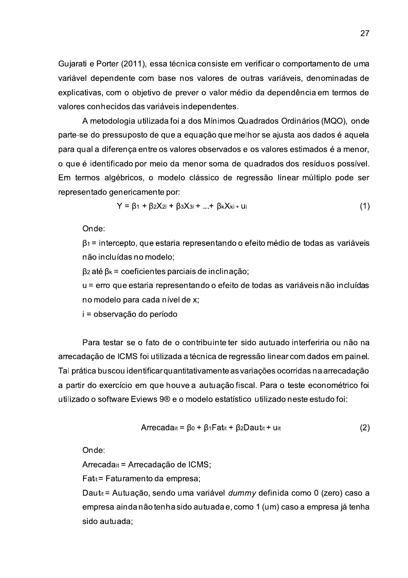Gujarati e Porter (2011), essa técnica consiste em verificar o comportamento de uma variável dependente com base nos valores de outras variáveis, denominadas de explicativas, com o objetivo de prever o valor médio da dependência em termos de valores conhecidos das variáveis independentes.

A metodologia utilizada foi a dos Mínimos Quadrados Ordinários (MQO), onde parte-se do pressuposto de que a equação que melhor se ajusta aos dados é aquela para qual a diferença entre os valores observados e os valores estimados é a menor, o que é identificado por meio da menor soma de quadrados dos resíduos possível. Em termos algébricos, o modelo clássico de regressão linear múltiplo pode ser representado genericamente por:

$$
Y = \beta_1 + \beta_2 X_{2i} + \beta_3 X_{3i} + ... + \beta_k X_{ki} + U_i
$$
 (1)

Onde:

 $\beta_1$  = intercepto, que estaria representando o efeito médio de todas as variáveis não incluídas no modelo;

 $\beta$ 2 até  $\beta$ <sub>k</sub> = coeficientes parciais de inclinação;

u = erro que estaria representando o efeito de todas as variáveis não incluídas no modelo para cada nível de x;

i = observação do período

Para testar se o fato de o contribuinte ter sido autuado interferiria ou não na arrecadação de ICMS foi utilizada a técnica de regressão linear com dados em painel. Tal prática buscou identificar quantitativamente as variações ocorridas na arrecadação a partir do exercício em que houve a autuação fiscal. Para o teste econométrico foi utilizado o software Eviews 9® e o modelo estatístico utilizado neste estudo foi:

$$
Arrecada_{it} = \beta_0 + \beta_1 F a_{it} + \beta_2 D a_{it} + u_{it}
$$
 (2)

Onde:

Arrecadait = Arrecadação de ICMS;

Fat<sub>it</sub> = Faturamento da empresa;

Dautit = Autuação, sendo uma variável dummy definida como 0 (zero) caso a empresa ainda não tenha sido autuada e, como 1 (um) caso a empresa já tenha sido autuada: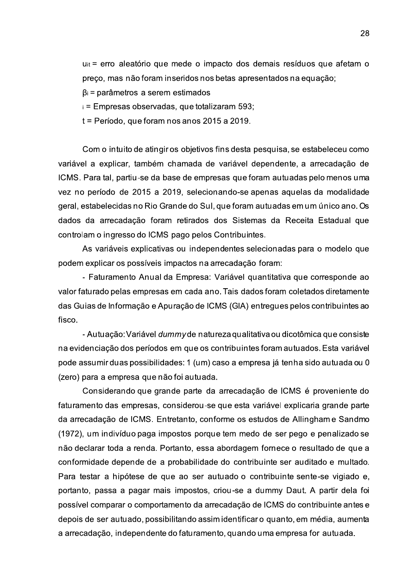u<sub>it</sub> = erro aleatório que mede o impacto dos demais resíduos que afetam o preço, mas não foram inseridos nos betas apresentados na equação;

 $\beta$ i = parâmetros a serem estimados

i = Empresas observadas, que totalizaram 593;

 $t = Período$ , que foram nos anos 2015 a 2019.

Com o intuito de atingir os objetivos fins desta pesquisa, se estabeleceu como variável a explicar, também chamada de variável dependente, a arrecadação de ICMS. Para tal, partiu-se da base de empresas que foram autuadas pelo menos uma vez no período de 2015 a 2019, selecionando-se apenas aquelas da modalidade geral, estabelecidas no Rio Grande do Sul, que foram autuadas em um único ano. Os dados da arrecadação foram retirados dos Sistemas da Receita Estadual que controlam o ingresso do ICMS pago pelos Contribuintes.

As variáveis explicativas ou independentes selecionadas para o modelo que podem explicar os possíveis impactos na arrecadação foram:

- Faturamento Anual da Empresa: Variável quantitativa que corresponde ao valor faturado pelas empresas em cada ano. Tais dados foram coletados diretamente das Guias de Informação e Apuração de ICMS (GIA) entregues pelos contribuintes ao fisco.

- Autuação: Variável dummy de natureza qualitativa ou dicotômica que consiste na evidenciação dos períodos em que os contribuintes foram autuados. Esta variável pode assumir duas possibilidades: 1 (um) caso a empresa já tenha sido autuada ou 0 (zero) para a empresa que não foi autuada.

Considerando que grande parte da arrecadação de ICMS é proveniente do faturamento das empresas, considerou-se que esta variável explicaria grande parte da arrecadação de ICMS. Entretanto, conforme os estudos de Allingham e Sandmo (1972), um indivíduo paga impostos porque tem medo de ser pego e penalizado se não declarar toda a renda. Portanto, essa abordagem fornece o resultado de que a conformidade depende de a probabilidade do contribuinte ser auditado e multado. Para testar a hipótese de que ao ser autuado o contribuinte sente-se vigiado e, portanto, passa a pagar mais impostos, criou-se a dummy Daut. A partir dela foi possível comparar o comportamento da arrecadação de ICMS do contribuinte antes e depois de ser autuado, possibilitando assimidentificaro quanto, em média, aumenta a arrecadação, independente do faturamento, quando uma empresa for autuada.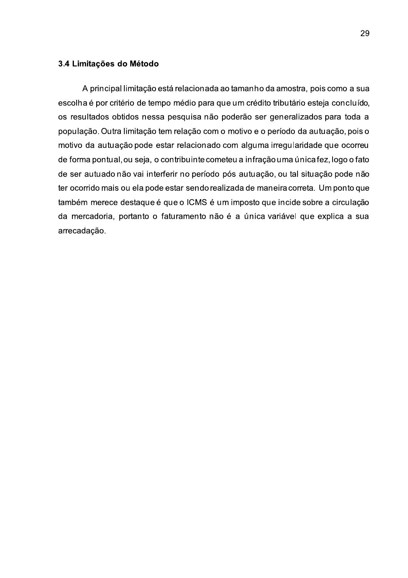### 3.4 Limitações do Método

A principal limitação está relacionada ao tamanho da amostra, pois como a sua escolha é por critério de tempo médio para que um crédito tributário esteja concluído, os resultados obtidos nessa pesquisa não poderão ser generalizados para toda a população. Outra limitação tem relação com o motivo e o período da autuação, pois o motivo da autuação pode estar relacionado com alguma irregularidade que ocorreu de forma pontual, ou seja, o contribuinte cometeu a infração uma única fez, logo o fato de ser autuado não vai interferir no período pós autuação, ou tal situação pode não ter ocorrido mais ou ela pode estar sendo realizada de maneira correta. Um ponto que também merece destaque é que o ICMS é um imposto que incide sobre a circulação da mercadoria, portanto o faturamento não é a única variável que explica a sua arrecadação.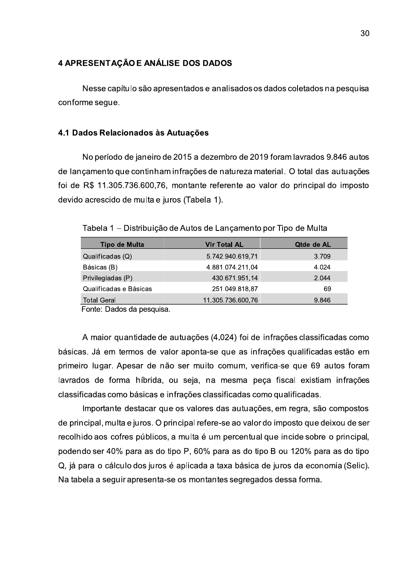### 4 APRESENTAÇÃO E ANÁLISE DOS DADOS

Nesse capítulo são apresentados e analisados os dados coletados na pesquisa conforme seque.

#### 4.1 Dados Relacionados às Autuações

No período de janeiro de 2015 a dezembro de 2019 foram lavrados 9.846 autos de lancamento que continham infrações de natureza material. O total das autuações foi de R\$ 11.305.736.600,76, montante referente ao valor do principal do imposto devido acrescido de multa e juros (Tabela 1).

Tabela 1 – Distribuição de Autos de Lançamento por Tipo de Multa

| Tipo de Multa          | <b>VIr Total AL</b> | Qtde de AL |
|------------------------|---------------------|------------|
| Qualificadas (Q)       | 5.742.940.619,71    | 3.709      |
| Básicas (B)            | 4.881.074.211,04    | 4.024      |
| Privilegiadas (P)      | 430.671.951,14      | 2.044      |
| Qualificadas e Básicas | 251.049.818,87      | 69         |
| <b>Total Geral</b>     | 11.305.736.600,76   | 9.846      |

Fonte: Dados da pesquisa.

A maior quantidade de autuações (4.024) foi de infrações classificadas como básicas. Já em termos de valor aponta-se que as infrações qualificadas estão em primeiro lugar. Apesar de não ser muito comum, verifica-se que 69 autos foram lavrados de forma híbrida, ou seja, na mesma peca fiscal existiam infrações classificadas como básicas e infrações classificadas como qualificadas.

Importante destacar que os valores das autuações, em regra, são compostos de principal, multa e juros. O principal refere-se ao valor do imposto que deixou de ser recolhido aos cofres públicos, a multa é um percentual que incide sobre o principal, podendo ser 40% para as do tipo P, 60% para as do tipo B ou 120% para as do tipo Q, já para o cálculo dos juros é aplicada a taxa básica de juros da economia (Selic). Na tabela a seguir apresenta-se os montantes segregados dessa forma.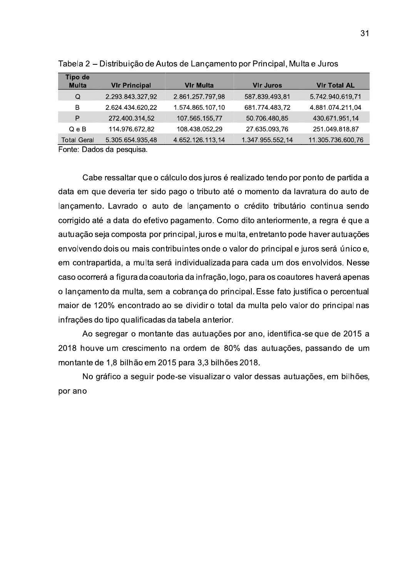|                         |                      |                                                                             |                  | 31                  |
|-------------------------|----------------------|-----------------------------------------------------------------------------|------------------|---------------------|
|                         |                      |                                                                             |                  |                     |
|                         |                      | Tabela 2 – Distribuição de Autos de Lançamento por Principal, Multa e Juros |                  |                     |
| Tipo de<br><b>Multa</b> | <b>VIr Principal</b> | <b>VIr Multa</b>                                                            | <b>VIr Juros</b> | <b>VIr Total AL</b> |
| Q                       | 2.293.843.327,92     | 2.861.257.797,98                                                            | 587.839.493,81   | 5.742.940.619.71    |
| B                       | 2.624.434.620,22     | 1.574.865.107,10                                                            | 681.774.483.72   | 4.881.074.211,04    |
| P                       | 272.400.314,52       | 107.565.155,77                                                              | 50.706.480,85    | 430.671.951,14      |
| $Q \n e B$              | 114.976.672,82       | 108.438.052.29                                                              | 27.635.093.76    | 251.049.818,87      |
|                         | 5.305.654.935,48     | 4.652.126.113,14                                                            | 1.347.955.552,14 | 11.305.736.600,76   |

Tabela 2 – Distribuicão de Autos de Lancamento por Principal. Multa e Juros

Cabe ressaltar que o cálculo dos juros é realizado tendo por ponto de partida a data em que deveria ter sido pago o tributo até o momento da lavratura do auto de lancamento. Lavrado o auto de lancamento o crédito tributário continua sendo corrigido até a data do efetivo pagamento. Como dito anteriormente, a regra é que a autuação seja composta por principal, juros e multa, entretanto pode haver autuações envolvendo dois ou mais contribuintes onde o valor do principal e iuros será único e. em contrapartida, a multa será individualizada para cada um dos envolvidos. Nesse caso ocorrerá a figura da coautoria da infração, logo, para os coautores haverá apenas o lancamento da multa, sem a cobranca do principal. Esse fato iustifica o percentual maior de 120% encontrado ao se dividir o total da multa pelo valor do principal nas infrações do tipo qualificadas da tabela anterior.

Ao segregar o montante das autuações por ano, identifica-se que de 2015 a  $2018$  houve um crescimento na ordem de  $80\%$  das autuacões, passando de um montante de 1.8 bilhão em 2015 para 3.3 bilhões 2018.

No gráfico a seguir pode-se visualizaro valor dessas autuações, em bilhões. por ano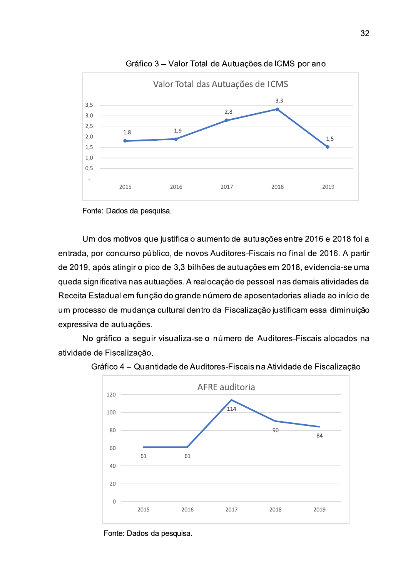





Um dos motivos que justifica o aumento de autuações entre 2016 e 2018 foi a entrada, por concurso público, de novos Auditores-Fiscais no final de 2016. A partir de 2019, após atingir o pico de 3,3 bilhões de autuações em 2018, evidencia-se uma queda significativa nas autuações. A realocação de pessoal nas demais atividades da Receita Estadual em função do grande número de aposentadorias aliada ao início de um processo de mudança cultural dentro da Fiscalização justificam essa diminuição expressiva de autuações.

No gráfico a seguir visualiza-se o número de Auditores-Fiscais alocados na atividade de Fiscalização.





Fonte: Dados da pesquisa.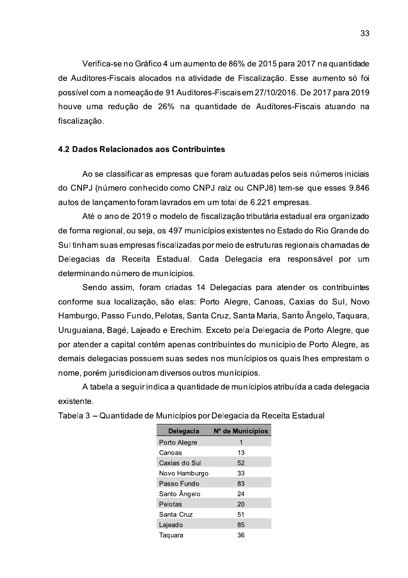Verifica-se no Gráfico 4 um aumento de 86% de 2015 para 2017 na quantidade de Auditores-Fiscais alocados na atividade de Fiscalização. Esse aumento só foi possível com a nomeação de 91 Auditores-Fiscais em 27/10/2016. De 2017 para 2019 houve uma redução de 26% na quantidade de Auditores-Fiscais atuando na fiscalização.

### 4.2 Dados Relacionados aos Contribuintes

Ao se classificar as empresas que foram autuadas pelos seis números iniciais do CNPJ (número conhecido como CNPJ raiz ou CNPJ8) tem-se que esses 9.846 autos de lançamento foram lavrados em um total de 6.221 empresas.

Até o ano de 2019 o modelo de fiscalização tributária estadual era organizado de forma regional, ou seja, os 497 municípios existentes no Estado do Rio Grande do Sul tinham suas empresas fiscalizadas por meio de estruturas regionais chamadas de Delegacias da Receita Estadual. Cada Delegacia era responsável por um determinando número de munícipios.

Sendo assim, foram criadas 14 Delegacias para atender os contribuintes conforme sua localização, são elas: Porto Alegre, Canoas, Caxias do Sul, Novo Hamburgo, Passo Fundo, Pelotas, Santa Cruz, Santa Maria, Santo Ângelo, Taquara, Uruguaiana, Bagé, Lajeado e Erechim. Exceto pela Delegacia de Porto Alegre, que por atender a capital contém apenas contribuintes do município de Porto Alegre, as demais delegacias possuem suas sedes nos munícipios os quais lhes emprestam o nome, porém jurisdicionam diversos outros munícipios.

A tabela a seguir indica a guantidade de munícipios atribuída a cada delegacia existente.

| Delegacia     | N° de Municípios |
|---------------|------------------|
| Porto Alegre  | 1                |
| Canoas        | 13               |
| Caxias do Sul | 52               |
| Novo Hamburgo | 33               |
| Passo Fundo   | 83               |
| Santo Ângelo  | 24               |
| Pelotas       | 20               |
| Santa Cruz    | 51               |
| Lajeado       | 85               |
| Taguara       | 36               |

Tabela 3 – Quantidade de Municípios por Delegacia da Receita Estadual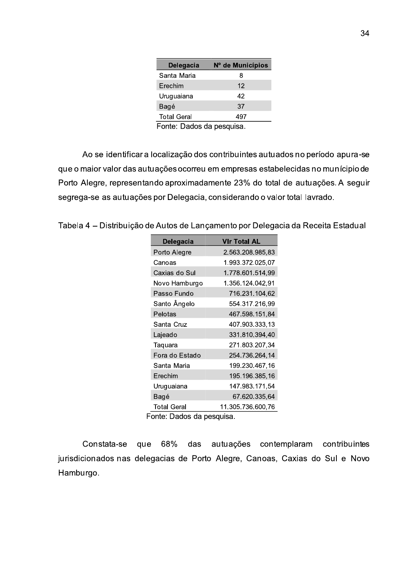| Delegacia          | Nº de Municípios |
|--------------------|------------------|
| Santa Maria        | 8                |
| Erechim            | 12               |
| Uruguaiana         | 42               |
| Bagé               | 37               |
| <b>Total Geral</b> | 497              |
|                    |                  |

Fonte: Dados da pesquisa.

Ao se identificar a localização dos contribuintes autuados no período apura-se que o maior valor das autuações ocorreu em empresas estabelecidas no munícipio de Porto Alegre, representando aproximadamente 23% do total de autuações. A seguir segrega-se as autuações por Delegacia, considerando o valor total lavrado.

Tabela 4 – Distribuição de Autos de Lançamento por Delegacia da Receita Estadual

| Delegacia      | <b>VIr Total AL</b> |
|----------------|---------------------|
| Porto Alegre   | 2.563.208.985,83    |
| Canoas         | 1.993.372.025.07    |
| Caxias do Sul  | 1.778.601.514,99    |
| Novo Hamburgo  | 1.356.124.042,91    |
| Passo Fundo    | 716.231.104,62      |
| Santo Ângelo   | 554.317.216,99      |
| Pelotas        | 467.598.151,84      |
| Santa Cruz     | 407.903.333.13      |
| Lajeado        | 331.810.394,40      |
| Taquara        | 271.803.207,34      |
| Fora do Estado | 254.736.264.14      |
| Santa Maria    | 199.230.467,16      |
| Erechim        | 195.196.385,16      |
| Uruguaiana     | 147.983.171,54      |
| Bagé           | 67.620.335,64       |
| Total Geral    | 11.305.736.600,76   |

Fonte: Dados da pesquisa.

que 68% das autuações contemplaram contribuintes Constata-se jurisdicionados nas delegacias de Porto Alegre, Canoas, Caxias do Sul e Novo Hamburgo.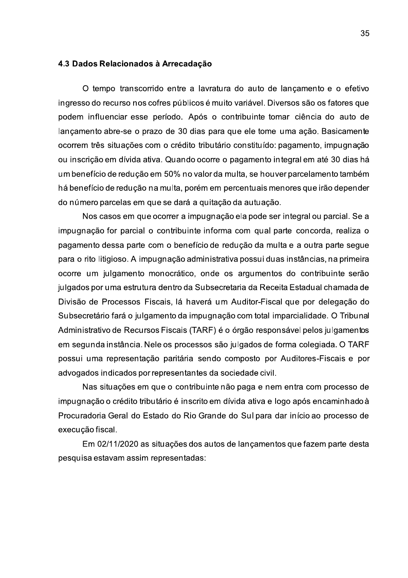#### 4.3 Dados Relacionados à Arrecadação

O tempo transcorrido entre a lavratura do auto de lancamento e o efetivo ingresso do recurso nos cofres públicos é muito variável. Diversos são os fatores que podem influenciar esse período. Após o contribuinte tomar ciência do auto de lançamento abre-se o prazo de 30 dias para que ele tome uma ação. Basicamente ocorrem três situações com o crédito tributário constituído: pagamento, impugnação ou inscrição em dívida ativa. Quando ocorre o pagamento integral em até 30 dias há um benefício de redução em 50% no valor da multa, se houver parcelamento também há benefício de redução na multa, porém em percentuais menores que irão depender do número parcelas em que se dará a quitação da autuação.

Nos casos em que ocorrer a impugnação ela pode ser integral ou parcial. Se a impugnação for parcial o contribuinte informa com qual parte concorda, realiza o pagamento dessa parte com o benefício de redução da multa e a outra parte segue para o rito litigioso. A impugnação administrativa possui duas instâncias, na primeira ocorre um julgamento monocrático, onde os argumentos do contribuinte serão julgados por uma estrutura dentro da Subsecretaria da Receita Estadual chamada de Divisão de Processos Fiscais, lá haverá um Auditor-Fiscal que por delegação do Subsecretário fará o julgamento da impugnação com total imparcialidade. O Tribunal Administrativo de Recursos Fiscais (TARF) é o órgão responsável pelos julgamentos em segunda instância. Nele os processos são julgados de forma colegiada. O TARF possui uma representação paritária sendo composto por Auditores-Fiscais e por advogados indicados por representantes da sociedade civil.

Nas situações em que o contribuinte não paga e nem entra com processo de impugnação o crédito tributário é inscrito em dívida ativa e logo após encaminhado à Procuradoria Geral do Estado do Rio Grande do Sul para dar início ao processo de execução fiscal.

Em 02/11/2020 as situações dos autos de lançamentos que fazem parte desta pesquisa estavam assim representadas: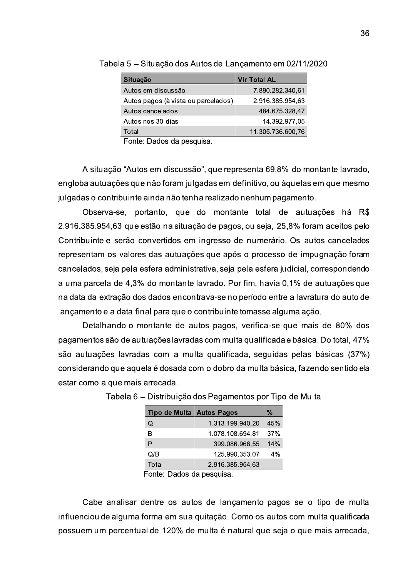| Situação                                      | <b>VIr Total AL</b> |
|-----------------------------------------------|---------------------|
| Autos em discussão                            | 7.890.282.340,61    |
| Autos pagos (à vista ou parcelados)           | 2.916.385.954,63    |
| Autos cancelados                              | 484.675.328,47      |
| Autos nos 30 dias                             | 14.392.977,05       |
| Total                                         | 11.305.736.600,76   |
| والمتاريخ والمناصر المرامين المراجع<br>F.L.L. |                     |

Tabela 5 - Situação dos Autos de Lançamento em 02/11/2020

Fonte: Dados da pesquisa.

A situação "Autos em discussão", que representa 69,8% do montante lavrado, engloba autuações que não foram julgadas em definitivo, ou àquelas em que mesmo julgadas o contribuinte ainda não tenha realizado nenhum pagamento.

Observa-se, portanto, que do montante total de autuações há R\$ 2.916.385.954,63 que estão na situação de pagos, ou seja, 25,8% foram aceitos pelo Contribuinte e serão convertidos em ingresso de numerário. Os autos cancelados representam os valores das autuações que após o processo de impugnação foram cancelados, seja pela esfera administrativa, seja pela esfera judicial, correspondendo a uma parcela de 4,3% do montante lavrado. Por fim, havia 0,1% de autuações que na data da extração dos dados encontrava-se no período entre a lavratura do auto de lançamento e a data final para que o contribuinte tomasse alguma ação.

Detalhando o montante de autos pagos, verifica-se que mais de 80% dos pagamentos são de autuações lavradas com multa qualificada e básica. Do total, 47% são autuações lavradas com a multa qualificada, sequidas pelas básicas (37%) considerando que aquela é dosada com o dobro da multa básica, fazendo sentido ela estar como a que mais arrecada.

| Tipo de Multa Autos Pagos |                  | %   |
|---------------------------|------------------|-----|
| Q                         | 1.313.199.940,20 | 45% |
| в                         | 1.078.108.694.81 | 37% |
| P                         | 399.086.966,55   | 14% |
| Q/B                       | 125.990.353,07   | 4%  |
| Total                     | 2.916.385.954,63 |     |

Tabela 6 – Distribuição dos Pagamentos por Tipo de Multa

Fonte: Dados da pesquisa.

Cabe analisar dentre os autos de lançamento pagos se o tipo de multa influenciou de alguma forma em sua guitação. Como os autos com multa gualificada possuem um percentual de 120% de multa é natural que seja o que mais arrecada,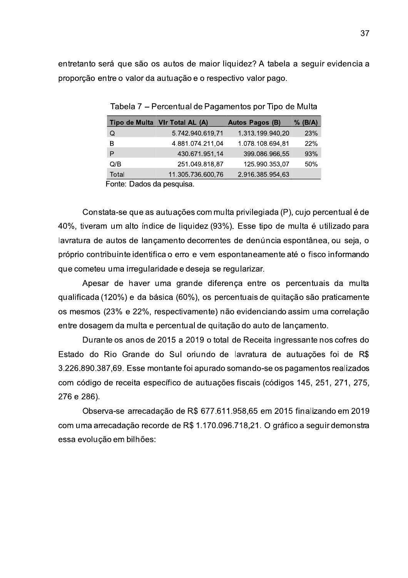entretanto será que são os autos de maior liquidez? A tabela a seguir evidencia a proporção entre o valor da autuação e o respectivo valor pago.

|       | Tipo de Multa VIr Total AL (A) | <b>Autos Pagos (B)</b> | (B/A)<br>℅ |
|-------|--------------------------------|------------------------|------------|
| Q     | 5.742.940.619,71               | 1.313.199.940,20       | <b>23%</b> |
| в     | 4.881.074.211,04               | 1.078.108.694,81       | 22%        |
| P     | 430.671.951,14                 | 399.086.966,55         | 93%        |
| Q/B   | 251.049.818,87                 | 125.990.353,07         | 50%        |
| Total | 11.305.736.600,76              | 2.916.385.954,63       |            |
| -     |                                |                        |            |

Tabela 7 – Percentual de Pagamentos por Tipo de Multa

Fonte: Dados da pesquisa.

Constata-se que as autuações com multa privilegiada (P), cujo percentual é de 40%, tiveram um alto índice de liquidez (93%). Esse tipo de multa é utilizado para lavratura de autos de lançamento decorrentes de denúncia espontânea, ou seja, o próprio contribuinte identifica o erro e vem espontaneamente até o fisco informando que cometeu uma irregularidade e deseja se regularizar.

Apesar de haver uma grande diferença entre os percentuais da multa gualificada (120%) e da básica (60%), os percentuais de quitação são praticamente os mesmos (23% e 22%, respectivamente) não evidenciando assim uma correlação entre dosagem da multa e percentual de quitação do auto de lançamento.

Durante os anos de 2015 a 2019 o total de Receita ingressante nos cofres do Estado do Rio Grande do Sul oriundo de lavratura de autuações foi de R\$ 3.226.890.387,69. Esse montante foi apurado somando-se os pagamentos realizados com código de receita específico de autuações fiscais (códigos 145, 251, 271, 275, 276 e 286).

Observa-se arrecadação de R\$ 677.611.958,65 em 2015 finalizando em 2019 com uma arrecadação recorde de R\$ 1.170.096.718.21. O gráfico a seguir demonstra essa evolução em bilhões: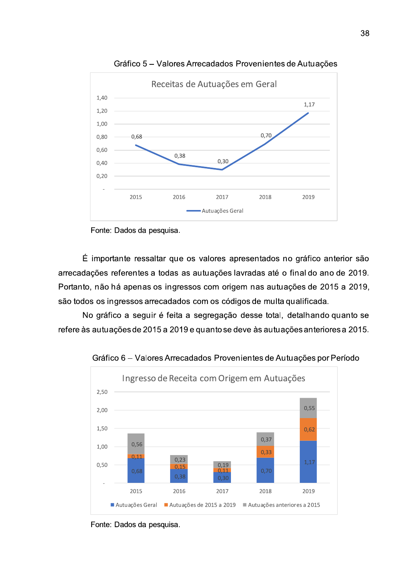

Gráfico 5 – Valores Arrecadados Provenientes de Autuações

Fonte: Dados da pesquisa.

É importante ressaltar que os valores apresentados no gráfico anterior são arrecadações referentes a todas as autuações lavradas até o final do ano de 2 <sup>2019</sup><br>
s no gráfico anterior são<br>
é o final do ano de 2019.<br>
tuações de 2015 a 2019,<br>
lta qualificada.<br>
al, detalhando quanto se<br>
uações anteriores a 2015.<br>
Autuações per Período. Portanto, não há apenas os ingressos com origem nas autuações de 2015 a 2 sentados no gráfico anterior são<br>adas até o final do ano de 2019.<br>nas autuações de 2015 a 2019,<br>s de multa qualificada.<br>ssse total, detalhando quanto se<br>e às autuações anteriores a 2015.<br>ntes de Autuações por Período s no gráfico anterior são<br>é o final do ano de 2019.<br>tuações de 2015 a 2019,<br>lta qualificada.<br>al, detalhando quanto se<br>uações anteriores a 2015.<br>Autuações por Período são todos os ingressos arrecadados com os códigos de multa qualificada.  $\acute{\text{E}}$  importante ressaltar que os valores a<br>ecadações referentes a todas as autuações<br>tanto, não há apenas os ingressos com origo<br>todos os ingressos arrecadados com os cód<br>No gráfico a seguir é feita a segregação<br>ere s no gráfico anterior são<br>é o final do ano de 2019.<br>tuações de 2015 a 2019,<br>lta qualificada.<br>al, detalhando quanto se<br>uações anteriores a 2015.<br>Autuações por Período<br>tuações

No gráfico a seguir é feita a segregação desse total, detalhando quanto se refere às autuações de 2015 a 2019 e quanto se deve às autuações anteriores a 2015.



Gráfico 6 – Valores Arrecadados Provenientes de Autuações por Período

Fonte: Dados da pesquisa.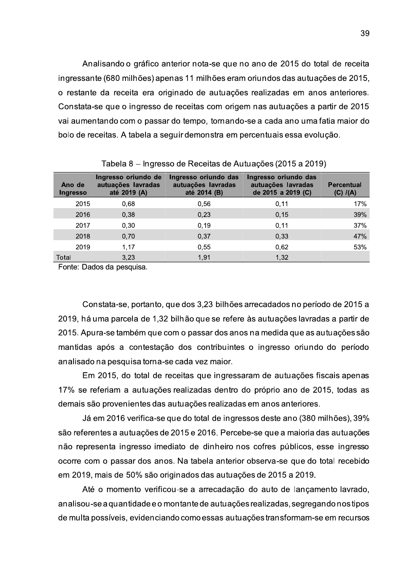Analisando o gráfico anterior nota-se que no ano de 2015 do total de receita ingressante (680 milhões) apenas 11 milhões eram oriundos das autuações de 2015, o restante da receita era originado de autuações realizadas em anos anteriores. Constata-se que o ingresso de receitas com origem nas autuações a partir de 2015 vai aumentando com o passar do tempo, tornando-se a cada ano uma fatia maior do bolo de receitas. A tabela a seguir demonstra em percentuais essa evolução.

| Ano de<br>Ingresso | Ingresso oriundo de<br>autuações lavradas<br>até 2019 (A) | Ingresso oriundo das<br>autuações lavradas<br>até 2014 (B) | Ingresso oriundo das<br>autuações lavradas<br>de 2015 a 2019 (C) | <b>Percentual</b><br>$(C)$ $I(A)$ |
|--------------------|-----------------------------------------------------------|------------------------------------------------------------|------------------------------------------------------------------|-----------------------------------|
| 2015               | 0,68                                                      | 0,56                                                       | 0, 11                                                            | 17%                               |
| 2016               | 0,38                                                      | 0,23                                                       | 0, 15                                                            | 39%                               |
| 2017               | 0,30                                                      | 0, 19                                                      | 0,11                                                             | 37%                               |
| 2018               | 0,70                                                      | 0,37                                                       | 0,33                                                             | 47%                               |
| 2019               | 1,17                                                      | 0,55                                                       | 0,62                                                             | 53%                               |
| Total              | 3,23                                                      | 1,91                                                       | 1,32                                                             |                                   |

Tabela 8 – Ingresso de Receitas de Autuações (2015 a 2019)

Fonte: Dados da pesquisa.

Constata-se, portanto, que dos 3,23 bilhões arrecadados no período de 2015 a 2019, há uma parcela de 1,32 bilhão que se refere às autuações lavradas a partir de 2015. Apura-se também que com o passar dos anos na medida que as autuações são mantidas após a contestação dos contribuintes o ingresso oriundo do período analisado na pesquisa torna-se cada vez maior.

Em 2015, do total de receitas que ingressaram de autuações fiscais apenas 17% se referiam a autuações realizadas dentro do próprio ano de 2015, todas as demais são provenientes das autuações realizadas em anos anteriores.

Já em 2016 verifica-se que do total de ingressos deste ano (380 milhões), 39% são referentes a autuações de 2015 e 2016. Percebe-se que a maioria das autuações não representa ingresso imediato de dinheiro nos cofres públicos, esse ingresso ocorre com o passar dos anos. Na tabela anterior observa-se que do total recebido em 2019, mais de 50% são originados das autuações de 2015 a 2019.

Até o momento verificou-se a arrecadação do auto de lançamento lavrado, analisou-se a quantidade e o montante de autuações realizadas, segregando nos tipos de multa possíveis, evidenciando como essas autuações transformam-se em recursos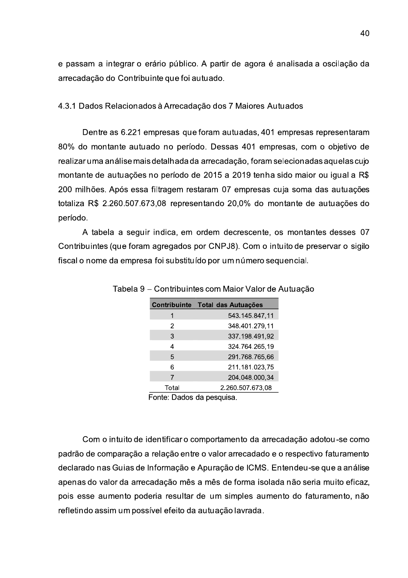e passam a integrar o erário público. A partir de agora é analisada a oscilação da arrecadação do Contribuinte que foi autuado.

### 4.3.1 Dados Relacionados à Arrecadação dos 7 Maiores Autuados

Dentre as 6.221 empresas que foram autuadas, 401 empresas representaram 80% do montante autuado no período. Dessas 401 empresas, com o objetivo de realizar uma análise mais detalhada da arrecadação, foram selecionadas aquelas cujo montante de autuações no período de 2015 a 2019 tenha sido maior ou igual a R\$ 200 milhões. Após essa filtragem restaram 07 empresas cuja soma das autuações totaliza R\$ 2.260.507.673,08 representando 20,0% do montante de autuações do período.

A tabela a seguir indica, em ordem decrescente, os montantes desses 07 Contribuintes (que foram agregados por CNPJ8). Com o intuito de preservar o sigilo fiscal o nome da empresa foi substituído por um número sequencial.

|       | Contribuinte Total das Autuações |
|-------|----------------------------------|
|       | 543.145.847,11                   |
| 2     | 348.401.279,11                   |
| 3     | 337.198.491,92                   |
| 4     | 324.764.265,19                   |
| 5     | 291.768.765,66                   |
| 6     | 211.181.023,75                   |
| 7     | 204.048.000,34                   |
| Total | 2.260.507.673,08                 |

Tabela 9 – Contribuintes com Maior Valor de Autuação

Fonte: Dados da pesquisa.

Com o intuito de identificar o comportamento da arrecadação adotou-se como padrão de comparação a relação entre o valor arrecadado e o respectivo faturamento declarado nas Guias de Informação e Apuração de ICMS. Entendeu-se que a análise apenas do valor da arrecadação mês a mês de forma isolada não seria muito eficaz, pois esse aumento poderia resultar de um simples aumento do faturamento, não refletindo assim um possível efeito da autuação lavrada.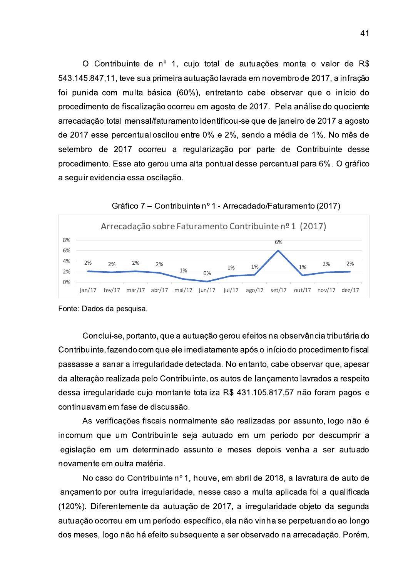O Contribuinte de nº 1, cujo total de autuações monta o valor de R\$ 543.145.847,11, teve sua primeira autuação lavrada em novembro de 2017, a infração foi punida com multa básica (60%), entretanto cabe observar que o início do procedimento de fiscalização ocorreu em agosto de 2017. Pela análise do quociente arrecadação total mensal/faturamento identificou-se que de janeiro de 2017 a agosto de 2017 esse percentual oscilou entre 0% e 2%, sendo a média de 1%. No mês de setembro de 2017 ocorreu a regularização por parte de Contribuinte desse procedimento. Esse ato gerou uma alta pontual desse percentual para 6%. O gráfico a seguir evidencia essa oscilação.

Gráfico 7 – Contribuinte nº 1 - Arrecadado/Faturamento (2017)



Fonte: Dados da pesquisa.

Conclui-se, portanto, que a autuação gerou efeitos na observância tributária do Contribuinte, fazendo com que ele imediatamente após o início do procedimento fiscal passasse a sanar a irregularidade detectada. No entanto, cabe observar que, apesar da alteração realizada pelo Contribuinte, os autos de lançamento lavrados a respeito dessa irregularidade cujo montante totaliza R\$ 431.105.817,57 não foram pagos e continuavamem fase de discussão.

As verificações fiscais normalmente são realizadas por assunto, logo não é incomum que um Contribuinte seja autuado em um período por descumprir a legislação em um determinado assunto e meses depois venha a ser autuado novamente em outra matéria.

No caso do Contribuinte nº 1, houve, em abril de 2018, a lavratura de auto de lançamento por outra irregularidade, nesse caso a multa aplicada foi a qualificada (120%). Diferentemente da autuação de 2017, a irregularidade objeto da segunda autuação ocorreu em um período específico, ela não vinha se perpetuando ao longo dos meses, logo não há efeito subsequente a ser observado na arrecadação. Porém,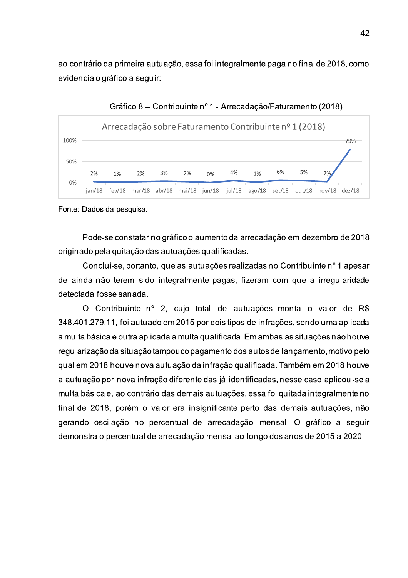ao contrário da primeira autuação, essa foi integralmente paga no final de 2018, como evidencia o gráfico a seguir:



Gráfico 8 – Contribuinte nº 1 - Arrecadação/Faturamento (2018)

Fonte: Dados da pesquisa.

Pode-se constatar no gráfico o aumento da arrecadação em dezembro de 2018 originado pela quitação das autuações qualificadas.

Conclui-se, portanto, que as autuações realizadas no Contribuinte nº 1 apesar de ainda não terem sido integralmente pagas, fizeram com que a irregularidade detectada fosse sanada.

O Contribuinte nº 2, cujo total de autuações monta o valor de R\$ 348.401.279,11, foi autuado em 2015 por dois tipos de infrações, sendo uma aplicada a multa básica e outra aplicada a multa qualificada. Em ambas as situações não houve regularização da situação tampouco pagamento dos autos de lançamento, motivo pelo qual em 2018 houve nova autuação da infração qualificada. Também em 2018 houve a autuação por nova infração diferente das já identificadas, nesse caso aplicou-se a multa básica e, ao contrário das demais autuações, essa foi quitada integralmente no final de 2018, porém o valor era insignificante perto das demais autuações, não gerando oscilação no percentual de arrecadação mensal. O gráfico a seguir demonstra o percentual de arrecadação mensal ao longo dos anos de 2015 a 2020.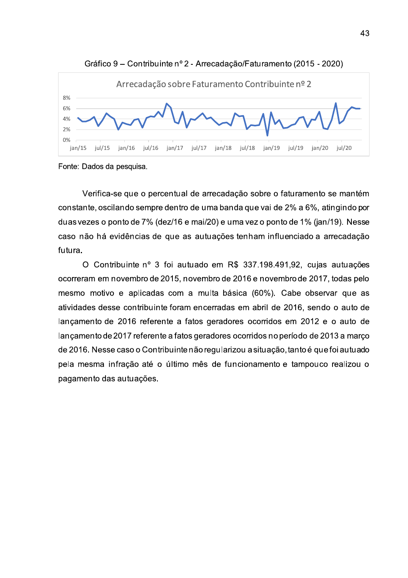

Fonte: Dados da pesquisa.

Verifica-se que o percentual de arrecadação sobre o faturamento se mantém constante, oscilando sempre dentro de uma banda que vai de 2% a 6%, atingindo por duas vezes o ponto de 7% (dez/16 e mai/20) e uma vez o ponto de 1% (jan/19). Nesse caso não há evidências de que as autuações tenham influenciado a arrecadação futura.

O Contribuinte nº 3 foi autuado em R\$ 337.198.491,92, cujas autuações ocorreram em novembro de 2015, novembro de 2016 e novembro de 2017, todas pelo mesmo motivo e aplicadas com a multa básica (60%). Cabe observar que as atividades desse contribuinte foram encerradas em abril de 2016, sendo o auto de lançamento de 2016 referente a fatos geradores ocorridos em 2012 e o auto de lançamento de 2017 referente a fatos geradores ocorridos no período de 2013 a março de 2016. Nesse caso o Contribuinte não regularizou a situação, tanto é que foi autuado pela mesma infração até o último mês de funcionamento e tampouco realizou o pagamento das autuações.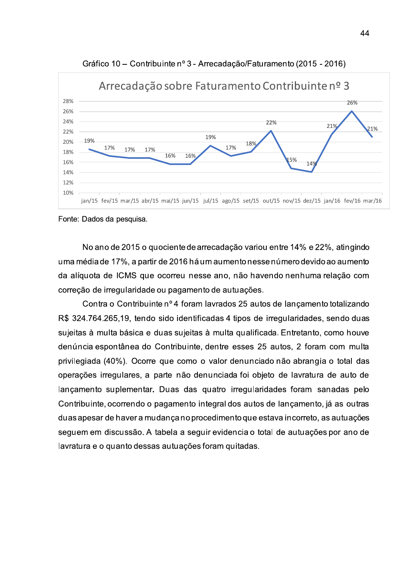

Gráfico 10 - Contribuinte nº 3 - Arrecadação/Faturamento (2015 - 2016)

Fonte: Dados da pesquisa.

No ano de 2015 o quociente de arrecadação variou entre 14% e 22%, atingindo uma média de 17%, a partir de 2016 há um aumento nesse número devido ao aumento da alíquota de ICMS que ocorreu nesse ano, não havendo nenhuma relação com correção de irregularidade ou pagamento de autuações.

Contra o Contribuinte nº 4 foram lavrados 25 autos de lançamento totalizando R\$ 324.764.265,19, tendo sido identificadas 4 tipos de irregularidades, sendo duas sujeitas à multa básica e duas sujeitas à multa qualificada. Entretanto, como houve denúncia espontânea do Contribuinte, dentre esses 25 autos, 2 foram com multa privilegiada (40%). Ocorre que como o valor denunciado não abrangia o total das operações irregulares, a parte não denunciada foi objeto de lavratura de auto de lançamento suplementar. Duas das quatro irregularidades foram sanadas pelo Contribuinte, ocorrendo o pagamento integral dos autos de lançamento, já as outras duas apesar de haver a mudança no procedimento que estava incorreto, as autuações seguem em discussão. A tabela a seguir evidencia o total de autuações por ano de lavratura e o quanto dessas autuações foram quitadas.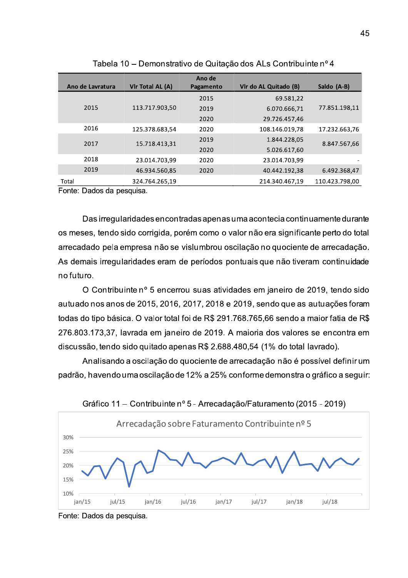|                  |                  | Ano de    |                       |                |  |
|------------------|------------------|-----------|-----------------------|----------------|--|
| Ano de Lavratura | Vir Total AL (A) | Pagamento | Vir do AL Quitado (B) | Saldo (A-B)    |  |
|                  |                  | 2015      | 69.581,22             |                |  |
| 2015             | 113.717.903.50   | 2019      | 6.070.666,71          | 77.851.198.11  |  |
|                  |                  | 2020      | 29.726.457.46         |                |  |
| 2016             | 125.378.683,54   | 2020      | 108.146.019.78        | 17.232.663.76  |  |
| 2017             | 15.718.413,31    | 2019      | 1.844.228.05          | 8.847.567,66   |  |
|                  |                  | 2020      | 5.026.617,60          |                |  |
| 2018             | 23.014.703,99    | 2020      | 23.014.703,99         |                |  |
| 2019             | 46.934.560,85    | 2020      | 40.442.192.38         | 6.492.368.47   |  |
| Total            | 324.764.265,19   |           | 214.340.467,19        | 110.423.798,00 |  |

Tabela 10 - Demonstrativo de Quitação dos ALs Contribuinte nº 4

Fonte: Dados da pesquisa.

Das irregularidades encontradas apenas uma acontecia continuamente durante os meses, tendo sido corrigida, porém como o valor não era significante perto do total arrecadado pela empresa não se vislumbrou oscilação no quociente de arrecadação. As demais irregularidades eram de períodos pontuais que não tiveram continuidade no futuro.

O Contribuinte nº 5 encerrou suas atividades em janeiro de 2019, tendo sido autuado nos anos de 2015, 2016, 2017, 2018 e 2019, sendo que as autuações foram todas do tipo básica. O valor total foi de R\$ 291.768.765,66 sendo a maior fatia de R\$ 276.803.173,37, lavrada em janeiro de 2019. A maioria dos valores se encontra em discussão, tendo sido quitado apenas R\$ 2.688.480,54 (1% do total lavrado).

Analisando a oscilação do quociente de arrecadação não é possível definir um padrão, havendo uma oscilação de 12% a 25% conforme demonstra o gráfico a seguir:





Fonte: Dados da pesquisa.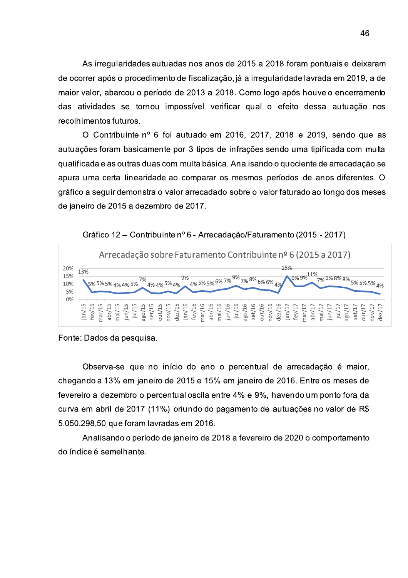As irregularidades autuadas nos anos de 2015 a 2018 foram pontuais e deixaram de ocorrer após o procedimento de fiscalização, já a irregularidade lavrada em 2019, a de maior valor, abarcou o período de 2013 a 2018. Como logo após houve o encerramento utuadas nos anos de 2015 a 2018 foram por<br>
nento de fiscalização, já a irregularidade lavra<br>
fodo de 2013 a 2018. Como logo após houv<br>
u impossível verificar qual o efeito dess<br>
i foi autuado em 2016, 2017, 2018 e 201<br>
ent das atividades se tornou impossível verificar qual o efeito dessa autuação nos recolhimentos futuros.

O Contribuinte nº 6 foi autuado em 2016. 2017. 2018 e 2019. sendo que as As irregularidades autuace<br>
de ocorrer após o procedimento<br>
maior valor, abarcou o período<br>
das atividades se tornou im<br>
recolhimentos futuros.<br>
O Contribuinte nº 6 foi<br>
autuações foram basicamente p<br>
qualificada e as outr autuacões foram basicamente por 3 tipos de infrações sendo uma tipificada com multa qualificada e as outras duas com multa básica. Analisando o quociente de arrecadação se apura uma certa linearidade ao comparar os mesmos períodos de anos diferentes. O gráfico a seguir demonstra o valor arrecadado sobre o valor faturado ao longo dos meses de ianeiro de 2015 a dezembro de 2017.





Fonte: Dados da pesquisa.

Observa-se que no início do ano o percentual de arrecadação é maior. chegando a 13% em janeiro de 2015 e 15% em janeiro de 2016. Entre os meses de fevereiro a dezembro o percentual oscila entre 4% e 9%. havendo um ponto fora da curva em abril de 2017 (11%) oriundo do pagamento de autuações no valor de R\$  $5.050.298.50$  que foram lavradas em 2016.

Analisando o período de janeiro de 2018 a fevereiro de 2020 o comportamento do índice é semelhante.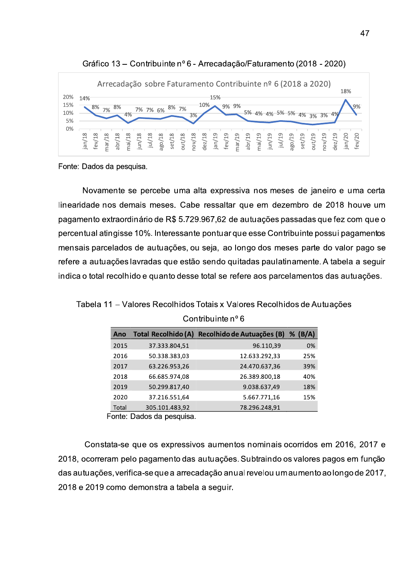



Fonte: Dados da p

Novamente se percebe uma alta expressiva nos meses de janeiro e uma certa linearidade hos demais meses. Cabe ressaltar que em dezembro de 2018 houve um ERECTE CONTROLLED AND CONTROL CONTROL CONTROL CONTROL CONTROL CONTROL CONTROL CONTROL CONTROL CONTROL CONTROL CONTROL CONTROL CONTROL CONTROL CONTROL CONTROL CONTROL CONTROL CONTROL CONTROL CONTROL CONTROL CONTROL CONTROL pagamento extraordinario de R\$ 5.729.967,62 de autuações passadas que fez com que o E A PROCEDUCED AS A PROCELLATOR CONSIDERS AND A PROCELLATOR CONSIDERS AND STREAM STREAM OF A SURFACE AND A SURFACE AND SURFACE A SURFACE AND SURFACE AND SURFACE AND SURFACE AND SURFACE AND SURFACE AND SURFACE AND SURFACE Example 1<br>
Superior de 1<br>
Superior de 2018 houve um<br>
passadas que fez com que o<br>
tribuinte possui pagamentos<br>
eses parte do valor pago se<br>
tinamente. A tabela a seguir<br>
celamentos das autuações.<br>
dos de Autuações. percentual atingisse 10%. Interessante pontuar que esse Contribuinte possui pagamentos rcebe uma alta expressiva nos meses de ja<br>meses. Cabe ressaltar que em dezembro o<br>de R\$ 5.729.967,62 de autuações passadas.<br>Interessante pontuar que esse Contribuinte<br>iutuações, ou seja, ao longo dos meses par<br>das que estã mensais parcelados de autuações, ou seja, ao longo dos meses parte do valor pago se refere a autuações lavradas que estão sendo quitadas paulatinamente. A tabela a seguir Novamente se percebe uma alta expressive<br>
dade nos demais meses. Cabe ressaltar quento extraordinário de R\$ 5.729.967,62 de antual atingisse 10%. Interessante pontuar que<br>
ais parcelados de autuações, ou seja, ao lon<br>
a a ercebe uma alta expressiva nos meses de<br>
i meses. Cabe ressaltar que em dezembro<br>
io de R\$ 5.729.967,62 de autuações passada<br>
%. Interessante pontuar que esse Contribuint<br>
autuações, ou seja, ao longo dos meses pa<br>
adas q indica o total recoinido e quanto desse total se refere aos parcelamentos das autuações. earidade nos demais meses. Cabe ressalta<br>
gamento extraordinário de R\$ 5.729.967,62 c<br>
rcentual atingisse 10%. Interessante pontuar<br>
ensais parcelados de autuações, ou seja, ac<br>
fere a autuações lavradas que estão sendo q<br>

Tabela 11 – Valores Recolhidos Totals x Valores Recolhidos de Autuações

|                                                              | Ano                       | Total Recolhido (A) | Recolhido de Autuações (B) | $%$ (B/A) |  |  |  |
|--------------------------------------------------------------|---------------------------|---------------------|----------------------------|-----------|--|--|--|
|                                                              | 2015                      | 37.333.804,51       | 96.110,39                  | 0%        |  |  |  |
|                                                              | 2016                      | 50.338.383,03       | 12.633.292,33              | 25%       |  |  |  |
|                                                              | 2017                      | 63.226.953,26       | 24.470.637,36              | 39%       |  |  |  |
|                                                              | 2018                      | 66.685.974,08       | 26.389.800,18              | 40%       |  |  |  |
|                                                              | 2019                      | 50.299.817,40       | 9.038.637,49               | 18%       |  |  |  |
|                                                              | 2020                      | 37.216.551,64       | 5.667.771,16               | 15%       |  |  |  |
|                                                              | Total                     | 305.101.483,92      | 78.296.248,91              |           |  |  |  |
|                                                              | Fonte: Dados da pesquisa. |                     |                            |           |  |  |  |
|                                                              |                           |                     |                            |           |  |  |  |
|                                                              |                           |                     |                            |           |  |  |  |
| stata-se que os expressivos aumentos nominais ocorridos e    |                           |                     |                            |           |  |  |  |
| eram pelo pagamento das autuações. Subtraindo os valores     |                           |                     |                            |           |  |  |  |
| ões, verifica-se que a arrecadação anual revelou um aumento. |                           |                     |                            |           |  |  |  |
| 9 como demonstra a tabela a seguir.                          |                           |                     |                            |           |  |  |  |
|                                                              |                           |                     |                            |           |  |  |  |

Contribuinte n° 6

Constata-se que os expressivos aumentos nominais ocorridos em 2016, 2017 e 2017 63.226.953,26<br>
2018 66.685.974,08<br>
2019 50.299.817,40<br>
2020 37.216.551,64<br>
Total 305.101.483,92<br>
Fonte: Dados da pesquisa.<br>
Constata-se que os expressivos at<br>
2018, ocorreram pelo pagamento das autu<br>
das autuações, ve 2018, ocorreram pelo pagamento das autuações. Subtraindo os valores pagos em função  $\alpha$ as autuações, verifica-se que a arrecadação anual revelou um aumento ao longo de 2017,  $\alpha$ 2020 37.216.551,64<br>
Total 305.101.483,92<br>
Fonte: Dados da pesquisa.<br>
Constata-se que os expressivos aument<br>
8, ocorreram pelo pagamento das autuações<br>
autuações, verifica-se que a arrecadação anu<br>
8 e 2019 como demonstra a zu 18 e zu 19 como demonstra a tabela a seguir.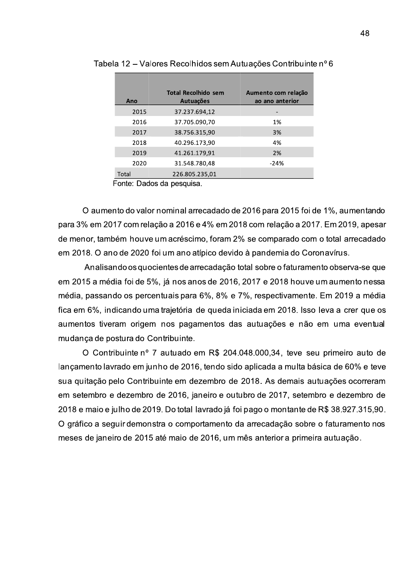|       | la 12 – Valores Recolhidos sem Autuações Contribuinte nº 6 |                     |
|-------|------------------------------------------------------------|---------------------|
|       |                                                            |                     |
|       |                                                            |                     |
|       | <b>Total Recolhido sem</b>                                 | Aumento com relação |
| Ano   | Autuações                                                  | ao ano anterior     |
| 2015  | 37.237.694,12                                              |                     |
| 2016  | 37.705.090.70                                              | 1%                  |
| 2017  | 38.756.315,90                                              | 3%                  |
| 2018  | 40.296.173,90                                              | 4%                  |
| 2019  | 41.261.179,91                                              | 2%                  |
| 2020  | 31.548.780,48                                              | -24%                |
| Total | 226.805.235,01                                             |                     |

Tabela 12 – Valores Recolhidos sem Autuações Contribuinte nº 6

Fonte: Dados da pesquisa.

O aumento do valor nominal arrecadado de 2016 para 2015 foi de 1%, aumentando para 3% em 2017 com relação a 2016 e 4% em 2018 com relação a 2017. Em 2019, apesar de menor, também houve um acréscimo, foram 2% se comparado com o total arrecadado em 2018. O ano de 2020 foi um ano atípico devido à pandemia do Coronavírus.

Analisando os quocientes de arrecadação total sobre o faturamento observa-se que em 2015 a média foi de 5%, já nos anos de 2016, 2017 e 2018 houve um aumento nessa média, passando os percentuais para 6%, 8% e 7%, respectivamente. Em 2019 a média fica em 6%, indicando uma trajetória de queda iniciada em 2018, Isso Ieva a crer que os aumentos tiveram origem nos pagamentos das autuações e não em uma eventual mudanca de postura do Contribuinte.

O Contribuinte nº 7 autuado em R\$ 204.048.000.34, teve seu primeiro auto de lancamento lavrado em junho de 2016, tendo sido aplicada a multa básica de 60% e teve sua guitação pelo Contribuinte em dezembro de 2018. As demais autuações ocorreram em setembro e dezembro de 2016, ianeiro e outubro de 2017, setembro e dezembro de 2018 e maio e iulho de 2019. Do total lavrado já foi pago o montante de R\$ 38.927.315.90. O gráfico a seguir demonstra o comportamento da arrecadação sobre o faturamento nos meses de janeiro de 2015 até maio de 2016, um mês anterior a primeira autuação.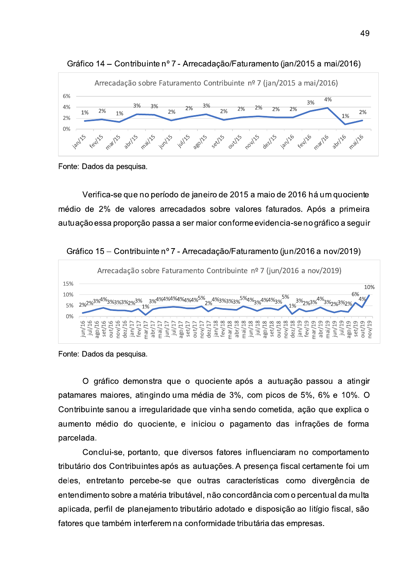

Gráfico 14 – Contribuinte nº 7 - Arrecadação/Faturamento (jan/2015 a mai/2016)

Verifica-se que no período de janeiro de 2015 a maio de 2016 há um quociente médio de 2% de valores arrecadados sobre valores faturados. Após a primeira autuação essa proporção passa a ser maior conforme evidencia-se no gráfico a seguir

Gráfico 15 – Contribuinte nº 7 - Arrecadação/Faturamento (jun/2016 a nov/2019)



Fonte. Dados da pesquisa.

O gráfico demonstra que o quociente após a autuação passou a atingir patamares maiores, atingindo uma média de 3%, com picos de 5%, 6% e 10%. O Contribuinte sanou a irregularidade que vinha sendo cometida, ação que explica o aumento médio do quociente, e iniciou o pagamento das infrações de forma parcelada.

Conclui-se, portanto, que diversos fatores influenciaram no comportamento tributário dos Contribuintes após as autuações. A presença fiscal certamente foi um deles, entretanto percebe-se que outras características como divergência de entendimento sobre a matéria tributável, não concordância com o percentual da multa aplicada, perfil de planejamento tributário adotado e disposição ao litígio fiscal, são fatores que também interferem na conformidade tributária das empresas.

Fonte: Dados da pesquisa.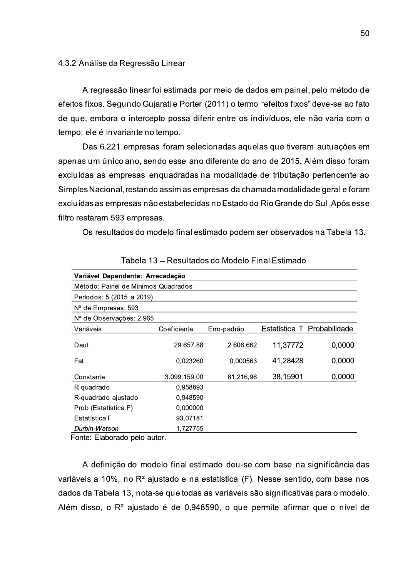#### 4.3.2 Análise da Regressão Linear

A regressão linear foi estimada por meio de dados em painel, pelo método de efeitos fixos. Segundo Gujarati e Porter (2011) o termo "efeitos fixos" deve-se ao fato de que, embora o intercepto possa diferir entre os indivíduos, ele não varia com o tempo; ele é invariante no tempo.

Das 6.221 empresas foram selecionadas aquelas que tiveram autuações em apenas um único ano, sendo esse ano diferente do ano de 2015. Além disso foram excluídas as empresas enguadradas na modalidade de tributação pertencente ao Simples Nacional, restando assim as empresas da chamada modalidade geral e foram excluídas as empresas não estabelecidas no Estado do Rio Grande do Sul. Após esse filtro restaram 593 empresas.

Os resultados do modelo final estimado podem ser observados na Tabela 13.

| Variável Dependente: Arrecadação    |              |             |          |                             |  |  |
|-------------------------------------|--------------|-------------|----------|-----------------------------|--|--|
| Método: Painel de Mínimos Quadrados |              |             |          |                             |  |  |
| Períodos: 5 (2015 a 2019)           |              |             |          |                             |  |  |
| $No$ de Empresas: 593               |              |             |          |                             |  |  |
| $No$ de Observações: 2.965          |              |             |          |                             |  |  |
| Variáveis                           | Coeficiente  | Erro-padrão |          | Estatística T Probabilidade |  |  |
| Daut                                | 29.657.88    | 2.606,662   | 11,37772 | 0,0000                      |  |  |
| Fat                                 | 0,023260     | 0,000563    | 41,28428 | 0,0000                      |  |  |
| Constante                           | 3.099.159.00 | 81.216,96   | 38,15901 | 0,0000                      |  |  |
| R-quadrado                          | 0,958893     |             |          |                             |  |  |
| R-quadrado ajustado                 | 0.948590     |             |          |                             |  |  |
| Prob (Estatística F)                | 0,000000     |             |          |                             |  |  |
| Estatística F                       | 93,07181     |             |          |                             |  |  |
| Durbin-Watson                       | 1.727755     |             |          |                             |  |  |

Tabela 13 - Resultados do Modelo Final Estimado

Fonte: Elaborado pelo autor.

A definição do modelo final estimado deu-se com base na significância das variáveis a 10%, no R<sup>2</sup> ajustado e na estatística (F). Nesse sentido, com base nos dados da Tabela 13, nota-se que todas as variáveis são significativas para o modelo. Além disso, o R<sup>2</sup> ajustado é de 0,948590, o que permite afirmar que o nível de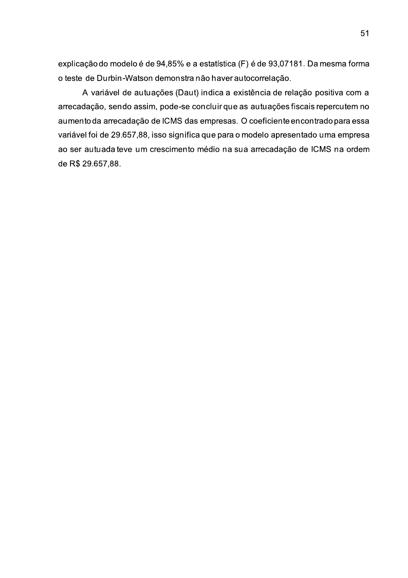explicação do modelo é de 94,85% e a estatística (F) é de 93,07181. Da mesma forma o teste de Durbin-Watson demonstra não haver autocorrelação.

A variável de autuações (Daut) indica a existência de relação positiva com a arrecadação, sendo assim, pode-se concluir que as autuações fiscais repercutem no aumento da arrecadação de ICMS das empresas. O coeficiente encontrado para essa variável foi de 29.657,88, isso significa que para o modelo apresentado uma empresa ao ser autuada teve um crescimento médio na sua arrecadação de ICMS na ordem de R\$ 29.657,88.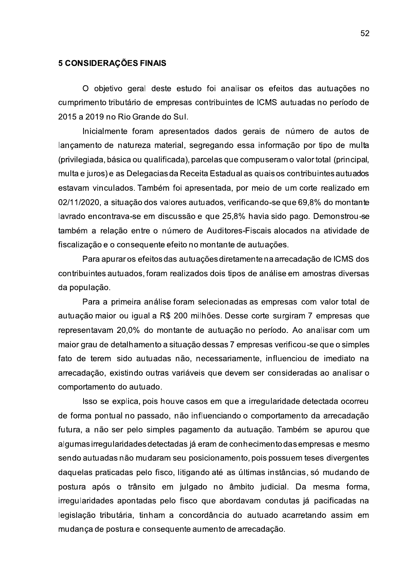### 5 CONSIDERAÇÕES FINAIS

O obietivo geral deste estudo foi analisar os efeitos das autuações no cumprimento tributário de empresas contribuintes de ICMS autuadas no período de 2015 a 2019 no Rio Grande do Sul.

Inicialmente foram apresentados dados gerais de número de autos de lançamento de natureza material, segregando essa informação por tipo de multa (privilegiada, básica ou qualificada), parcelas que compuseram o valor total (principal, multa e juros) e as Delegacias da Receita Estadual as quais os contribuintes autuados estavam vinculados. Também foi apresentada, por meio de um corte realizado em 02/11/2020, a situação dos valores autuados, verificando-se que 69,8% do montante lavrado encontrava-se em discussão e que 25,8% havia sido pago. Demonstrou-se também a relação entre o número de Auditores-Fiscais alocados na atividade de fiscalização e o consequente efeito no montante de autuações.

Para apurar os efeitos das autuações diretamente na arrecadação de ICMS dos contribuintes autuados, foram realizados dois tipos de análise em amostras diversas da população.

Para a primeira análise foram selecionadas as empresas com valor total de autuação maior ou igual a R\$ 200 milhões. Desse corte surgiram 7 empresas que representavam 20,0% do montante de autuação no período. Ao analisar com um maior grau de detalhamento a situação dessas 7 empresas verificou-se que o simples fato de terem sido autuadas não, necessariamente, influenciou de imediato na arrecadação, existindo outras variáveis que devem ser consideradas ao analisar o comportamento do autuado.

Isso se explica, pois houve casos em que a irregularidade detectada ocorreu de forma pontual no passado, não influenciando o comportamento da arrecadação futura, a não ser pelo simples pagamento da autuação. Também se apurou que algumas irregularidades detectadas já eram de conhecimento das empresas e mesmo sendo autuadas não mudaram seu posicionamento, pois possuem teses divergentes daquelas praticadas pelo fisco, litigando até as últimas instâncias, só mudando de postura após o trânsito em julgado no âmbito judicial. Da mesma forma, irregularidades apontadas pelo fisco que abordavam condutas já pacificadas na legislação tributária, tinham a concordância do autuado acarretando assim em mudança de postura e consequente aumento de arrecadação.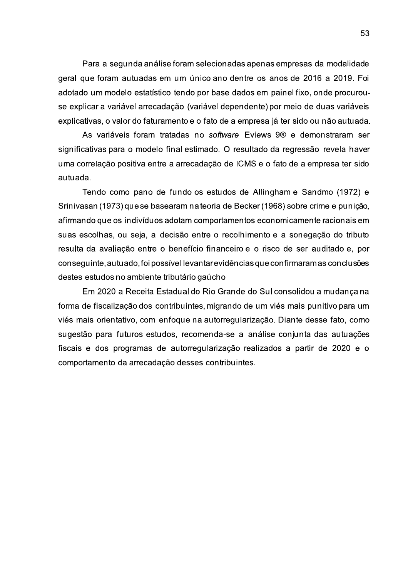Para a segunda análise foram selecionadas apenas empresas da modalidade geral que foram autuadas em um único ano dentre os anos de 2016 a 2019. Foi adotado um modelo estatístico tendo por base dados em painel fixo, onde procurouse explicar a variável arrecadação (variável dependente) por meio de duas variáveis explicativas, o valor do faturamento e o fato de a empresa já ter sido ou não autuada.

As variáveis foram tratadas no software Eviews 9® e demonstraram ser significativas para o modelo final estimado. O resultado da regressão revela haver uma correlação positiva entre a arrecadação de ICMS e o fato de a empresa ter sido autuada.

Tendo como pano de fundo os estudos de Allingham e Sandmo (1972) e Srinivasan (1973) que se basearam na teoria de Becker (1968) sobre crime e punição, afirmando que os indivíduos adotam comportamentos economicamente racionais em suas escolhas, ou seja, a decisão entre o recolhimento e a sonegação do tributo resulta da avaliação entre o benefício financeiro e o risco de ser auditado e, por conseguinte, autuado, foi possível levantar evidências que confirmaram as conclusões destes estudos no ambiente tributário gaúcho

Em 2020 a Receita Estadual do Rio Grande do Sul consolidou a mudança na forma de fiscalização dos contribuintes, migrando de um viés mais punitivo para um viés mais orientativo, com enfoque na autorregularização. Diante desse fato, como sugestão para futuros estudos, recomenda-se a análise conjunta das autuações fiscais e dos programas de autorregularização realizados a partir de 2020 e o comportamento da arrecadação desses contribuintes.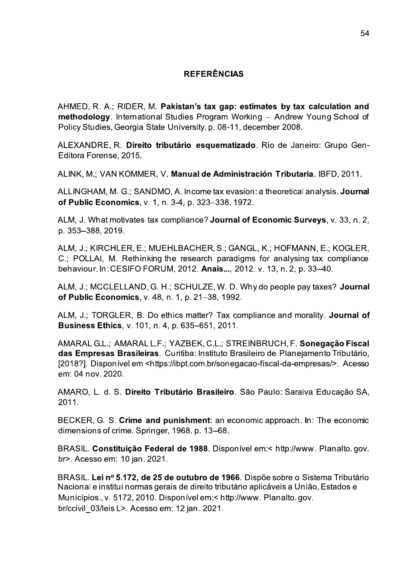### **REFERÊNCIAS**

AHMED, R. A.; RIDER, M. Pakistan's tax gap: estimates by tax calculation and methodology. International Studies Program Working - Andrew Young School of Policy Studies, Georgia State University, p. 08-11, december 2008.

ALEXANDRE, R. Direito tributário esquematizado. Rio de Janeiro: Grupo Gen-Editora Forense, 2015.

ALINK, M.; VAN KOMMER, V. Manual de Administración Tributaria. IBFD, 2011.

ALLINGHAM, M. G.; SANDMO, A. Income tax evasion: a theoretical analysis. Journal of Public Economics. v. 1. n. 3-4. p. 323-338. 1972.

ALM, J. What motivates tax compliance? Journal of Economic Surveys, v. 33, n. 2, p. 353-388, 2019.

ALM, J.; KIRCHLER, E.; MUEHLBACHER, S.; GANGL, K.; HOFMANN, E.; KOGLER, C.; POLLAI, M. Rethinking the research paradigms for analysing tax compliance behaviour. In: CESIFO FORUM, 2012. Anais..., 2012. v. 13, n. 2, p. 33-40.

ALM, J.; MCCLELLAND, G. H.; SCHULZE, W. D. Why do people pay taxes? Journal of Public Economics, v. 48, n. 1, p. 21-38, 1992.

ALM, J.; TORGLER, B. Do ethics matter? Tax compliance and morality. Journal of **Business Ethics, v. 101, n. 4, p. 635–651, 2011.** 

AMARAL G.L.; AMARAL L.F.; YAZBEK, C.L.; STREINBRUCH, F. Sonegação Fiscal das Empresas Brasileiras. Curitiba: Instituto Brasileiro de Planejamento Tributário, [2018?]. Disponível em <https://ibpt.com.br/sonegacao-fiscal-da-empresas/>. Acesso em: 04 nov. 2020.

AMARO, L. d. S. Direito Tributário Brasileiro. São Paulo: Saraiva Educação SA, 2011.

BECKER, G. S. Crime and punishment: an economic approach. In: The economic dimensions of crime. Springer, 1968. p. 13–68.

BRASIL. Constituicão Federal de 1988. Disponível em:< http://www. Planalto.gov. br>. Acesso em: 10 jan. 2021.

BRASIL. Lei nº 5.172, de 25 de outubro de 1966. Dispõe sobre o Sistema Tributário Nacional e institui normas gerais de direito tributário aplicáveis a União, Estados e Municípios., v. 5172, 2010. Disponível em:< http://www. Planalto.gov. br/ccivil 03/leis L>. Acesso em: 12 jan. 2021.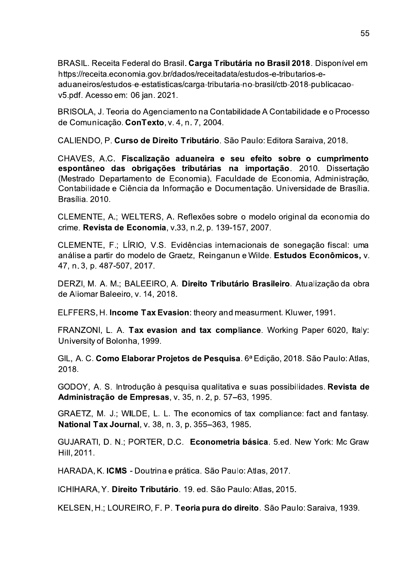BRASIL. Receita Federal do Brasil. Carga Tributária no Brasil 2018. Disponível em https://receita.economia.gov.br/dados/receitadata/estudos-e-tributarios-eaduaneiros/estudos-e-estatisticas/carga-tributaria-no-brasil/ctb-2018-publicacaov5.pdf. Acesso em: 06 ian. 2021.

BRISOLA, J. Teoria do Agenciamento na Contabilidade A Contabilidade e o Processo de Comunicação. ConTexto, v. 4, n. 7, 2004.

CALIENDO, P. Curso de Direito Tributário. São Paulo: Editora Saraiva, 2018.

CHAVES, A.C. Fiscalização aduaneira e seu efeito sobre o cumprimento espontâneo das obrigações tributárias na importação. 2010. Dissertação (Mestrado Departamento de Economia). Faculdade de Economia, Administração, Contabilidade e Ciência da Informação e Documentação. Universidade de Brasília. Brasília, 2010.

CLEMENTE, A.; WELTERS, A. Reflexões sobre o modelo original da economia do crime. Revista de Economia, v.33, n.2, p. 139-157, 2007.

CLEMENTE, F.; LÍRIO, V.S. Evidências internacionais de sonegação fiscal: uma análise a partir do modelo de Graetz, Reinganun e Wilde. Estudos Econômicos, v. 47, n. 3, p. 487-507, 2017.

DERZI, M. A. M.; BALEEIRO, A. Direito Tributário Brasileiro. Atualização da obra de Aliomar Baleeiro, v. 14, 2018.

ELFFERS, H. Income Tax Evasion: theory and measurment. Kluwer, 1991.

FRANZONI, L. A. Tax evasion and tax compliance. Working Paper 6020, Italy: University of Bolonha, 1999.

GIL, A. C. Como Elaborar Projetos de Pesquisa. 6ª Edição, 2018. São Paulo: Atlas, 2018.

GODOY, A. S. Introdução à pesquisa qualitativa e suas possibilidades. Revista de Administração de Empresas, v. 35, n. 2, p. 57-63, 1995.

GRAETZ, M. J.; WILDE, L. L. The economics of tax compliance: fact and fantasy. National Tax Journal, v. 38, n. 3, p. 355-363, 1985.

GUJARATI, D. N.; PORTER, D.C. Econometria básica. 5.ed. New York: Mc Graw Hill, 2011.

HARADA, K. ICMS - Doutrina e prática. São Paulo: Atlas, 2017.

ICHIHARA, Y. Direito Tributário. 19. ed. São Paulo: Atlas, 2015.

KELSEN, H.; LOUREIRO, F. P. Teoria pura do direito. São Paulo: Saraiva, 1939.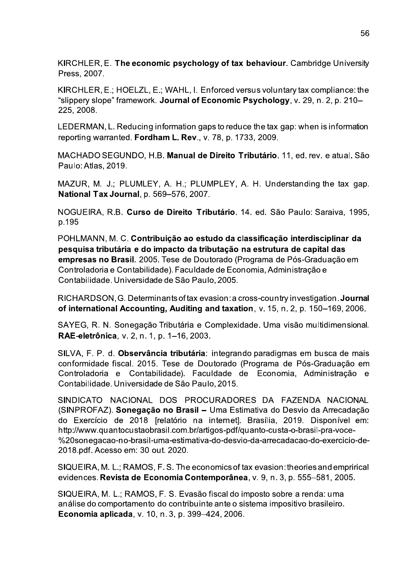KIRCHLER, E. The economic psychology of tax behaviour. Cambridge University Press, 2007.

KIRCHLER, E.; HOELZL, E.; WAHL, I. Enforced versus voluntary tax compliance: the "slippery slope" framework. Journal of Economic Psychology, v. 29, n. 2, p. 210-225, 2008.

LEDERMAN, L. Reducing information gaps to reduce the tax gap: when is information reporting warranted. Fordham L. Rev., v. 78, p. 1733, 2009.

MACHADO SEGUNDO, H.B. Manual de Direito Tributário, 11, ed. rev. e atual. São Paulo: Atlas, 2019.

MAZUR, M. J.; PLUMLEY, A. H.; PLUMPLEY, A. H. Understanding the tax gap. **National Tax Journal**, p. 569-576, 2007.

NOGUEIRA, R.B. Curso de Direito Tributário. 14. ed. São Paulo: Saraiva, 1995, p.195

POHLMANN, M. C. Contribuição ao estudo da classificação interdisciplinar da pesquisa tributária e do impacto da tributação na estrutura de capital das empresas no Brasil. 2005. Tese de Doutorado (Programa de Pós-Graduação em Controladoria e Contabilidade). Faculdade de Economia, Administração e Contabilidade. Universidade de São Paulo, 2005.

RICHARDSON, G. Determinants of tax evasion: a cross-country investigation, Journal of international Accounting, Auditing and taxation, v. 15, n. 2, p. 150–169, 2006.

SAYEG, R. N. Sonegação Tributária e Complexidade. Uma visão multidimensional. RAE-eletrônica, v. 2, n. 1, p. 1-16, 2003.

SILVA, F. P. d. Observância tributária: integrando paradigmas em busca de mais conformidade fiscal. 2015. Tese de Doutorado (Programa de Pós-Graduação em Controladoria e Contabilidade). Faculdade de Economia, Administração e Contabilidade. Universidade de São Paulo, 2015.

SINDICATO NACIONAL DOS PROCURADORES DA FAZENDA NACIONAL (SINPROFAZ). Sonegação no Brasil - Uma Estimativa do Desvio da Arrecadação do Exercício de 2018 [relatório na internet]. Brasília, 2019. Disponível em: http://www.quantocustaobrasil.com.br/artigos-pdf/quanto-custa-o-brasil-pra-voce-%20sonegacao-no-brasil-uma-estimativa-do-desvio-da-arrecadacao-do-exercicio-de-2018.pdf. Acesso em: 30 out. 2020.

SIQUEIRA, M. L.; RAMOS, F. S. The economics of tax evasion: theories and emprirical evidences. Revista de Economia Contemporânea, v. 9, n. 3, p. 555–581, 2005.

SIQUEIRA, M. L.; RAMOS, F. S. Evasão fiscal do imposto sobre a renda: uma análise do comportamento do contribuinte ante o sistema impositivo brasileiro. Economia aplicada, v. 10, n. 3, p. 399-424, 2006.